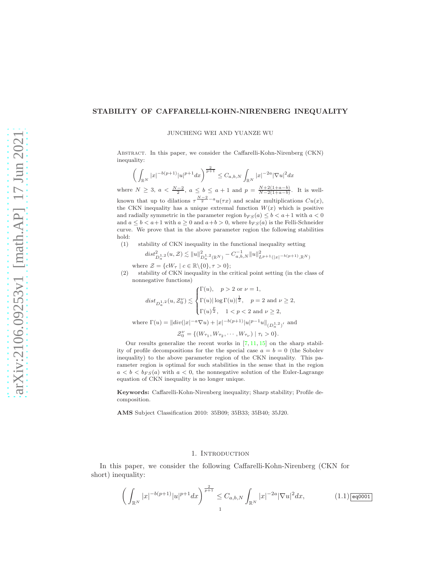## STABILITY OF CAFFARELLI-KOHN-NIRENBERG INEQUALITY

JUNCHENG WEI AND YUANZE WU

Abstract. In this paper, we consider the Caffarelli-Kohn-Nirenberg (CKN) inequality:

$$
\left(\int_{\mathbb{R}^N} |x|^{-b(p+1)} |u|^{p+1} dx\right)^{\frac{2}{p+1}} \leq C_{a,b,N} \int_{\mathbb{R}^N} |x|^{-2a} |\nabla u|^2 dx
$$

where  $N \ge 3$ ,  $a < \frac{N-2}{2}$ ,  $a \le b \le a+1$  and  $p = \frac{N+2(1+a-b)}{N-2(1+a-b)}$ . It is wellknown that up to dilations  $\tau^{\frac{N-2}{2}-a}u(\tau x)$  and scalar multiplications  $Cu(x)$ , the CKN inequality has a unique extremal function  $W(x)$  which is positive and radially symmetric in the parameter region  $b_{FS}(a) \leq b < a+1$  with  $a < 0$ and  $a \leq b < a+1$  with  $a \geq 0$  and  $a+b > 0$ , where  $b_{FS}(a)$  is the Felli-Schneider curve. We prove that in the above parameter region the following stabilities hold:

(1) stability of CKN inequality in the functional inequality setting

$$
dist_{D_a^1,2}^2(u,\mathcal{Z}) \lesssim \|u\|_{D_a^{1,2}(\mathbb{R}^N)}^2 - C_{a,b,N}^{-1} \|u\|_{L^{p+1}(|x|^{-b(p+1)},\mathbb{R}^N)}^2
$$

where  $\mathcal{Z} = \{cW_{\tau} \mid c \in \mathbb{R} \setminus \{0\}, \tau > 0\};$ 

(2) stability of CKN inequality in the critical point setting (in the class of nonnegative functions)

$$
dist_{D_a^{1,2}}(u, \mathcal{Z}_0^{\nu}) \lesssim \begin{cases} \Gamma(u), & p > 2 \text{ or } \nu = 1, \\ \Gamma(u) |\log \Gamma(u)|^{\frac{1}{2}}, & p = 2 \text{ and } \nu \ge 2, \\ \Gamma(u)^{\frac{p}{2}}, & 1 < p < 2 \text{ and } \nu \ge 2, \end{cases}
$$
  
where  $\Gamma(u) = ||div(|x|^{-a}\nabla u) + |x|^{-b(p+1)}|u|^{p-1}u||_{(D_a^{1,2})'}$  and 
$$
\mathcal{Z}_0^{\nu} = \{(W_{\tau_1}, W_{\tau_2}, \cdots, W_{\tau_{\nu}}) | \tau_i > 0\}.
$$

Our results generalize the recent works in  $[7, 11, 15]$  $[7, 11, 15]$  $[7, 11, 15]$  $[7, 11, 15]$  on the sharp stability of profile decompositions for the the special case  $a = b = 0$  (the Sobolev inequality) to the above parameter region of the CKN inequality. This parameter region is optimal for such stabilities in the sense that in the region  $a < b < b_{FS}(a)$  with  $a < 0$ , the nonnegative solution of the Euler-Lagrange equation of CKN inequality is no longer unique.

Keywords: Caffarelli-Kohn-Nirenberg inequality; Sharp stability; Profile decomposition.

AMS Subject Classification 2010: 35B09; 35B33; 35B40; 35J20.

## 1. INTRODUCTION

In this paper, we consider the following Caffarelli-Kohn-Nirenberg (CKN for short) inequality:

<span id="page-0-0"></span>
$$
\left(\int_{\mathbb{R}^N} |x|^{-b(p+1)} |u|^{p+1} dx\right)^{\frac{2}{p+1}} \leq C_{a,b,N} \int_{\mathbb{R}^N} |x|^{-2a} |\nabla u|^2 dx,\tag{1.1}\overline{\text{eqo}}\overline{\text{op}}.
$$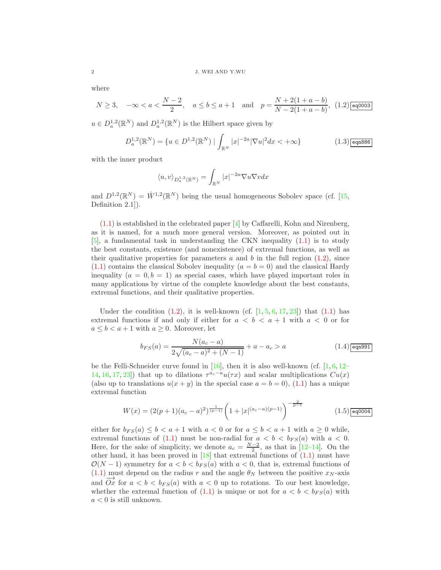where

<span id="page-1-0"></span>
$$
N \ge 3, \quad -\infty < a < \frac{N-2}{2}, \quad a \le b \le a+1 \quad \text{and} \quad p = \frac{N+2(1+a-b)}{N-2(1+a-b)}, \tag{1.2}\text{ [eq0003]}
$$

 $u \in D_a^{1,2}(\mathbb{R}^N)$  and  $D_a^{1,2}(\mathbb{R}^N)$  is the Hilbert space given by

<span id="page-1-2"></span>
$$
D_a^{1,2}(\mathbb{R}^N) = \{ u \in D^{1,2}(\mathbb{R}^N) \mid \int_{\mathbb{R}^N} |x|^{-2a} |\nabla u|^2 dx < +\infty \}
$$
 (1.3)

with the inner product

$$
\langle u,v\rangle_{D^{1,2}_a(\mathbb{R}^N)}=\int_{\mathbb{R}^N}|x|^{-2a}\nabla u\nabla vdx
$$

and  $D^{1,2}(\mathbb{R}^N) = \dot{W}^{1,2}(\mathbb{R}^N)$  being the usual homogeneous Sobolev space (cf. [\[15,](#page-28-1) Definition 2.1]).

 $(1.1)$  is established in the celebrated paper  $\vert 4 \vert$  by Caffarelli, Kohn and Nirenberg, as it is named, for a much more general version. Moreover, as pointed out in [\[5\]](#page-27-2), a fundamental task in understanding the CKN inequality [\(1.1\)](#page-0-0) is to study the best constants, existence (and nonexistence) of extremal functions, as well as their qualitative properties for parameters a and b in the full region  $(1.2)$ , since  $(1.1)$  contains the classical Sobolev inequality  $(a = b = 0)$  and the classical Hardy inequality  $(a = 0, b = 1)$  as special cases, which have played important roles in many applications by virtue of the complete knowledge about the best constants, extremal functions, and their qualitative properties.

Under the condition  $(1.2)$ , it is well-known  $(cf. [1, 5, 6, 17, 23])$  $(cf. [1, 5, 6, 17, 23])$  $(cf. [1, 5, 6, 17, 23])$  $(cf. [1, 5, 6, 17, 23])$  $(cf. [1, 5, 6, 17, 23])$  $(cf. [1, 5, 6, 17, 23])$  $(cf. [1, 5, 6, 17, 23])$  $(cf. [1, 5, 6, 17, 23])$  $(cf. [1, 5, 6, 17, 23])$  $(cf. [1, 5, 6, 17, 23])$  $(cf. [1, 5, 6, 17, 23])$  that  $(1.1)$  has extremal functions if and only if either for  $a < b < a + 1$  with  $a < 0$  or for  $a \leq b < a+1$  with  $a \geq 0$ . Moreover, let

<span id="page-1-1"></span>
$$
b_{FS}(a) = \frac{N(a_c - a)}{2\sqrt{(a_c - a)^2 + (N - 1)}} + a - a_c > a
$$
\n(1.4)eqn991

be the Felli-Schneider curve found in [\[16\]](#page-28-4), then it is also well-known (cf.  $[1, 6, 12 [1, 6, 12 [1, 6, 12-$ [14,](#page-28-6) [16,](#page-28-4) [17,](#page-28-2) [23\]](#page-28-3)) that up to dilations  $\tau^{a_c-a}u(\tau x)$  and scalar multiplications  $Cu(x)$ (also up to translations  $u(x + y)$  in the special case  $a = b = 0$ ), [\(1.1\)](#page-0-0) has a unique extremal function

<span id="page-1-3"></span>
$$
W(x) = (2(p+1)(a_c-a)^2)^{\frac{1}{(p-1)}} \left(1+|x|^{(a_c-a)(p-1)}\right)^{-\frac{2}{p-1}}
$$
(1.5)

either for  $b_{FS}(a) \leq b < a+1$  with  $a < 0$  or for  $a \leq b < a+1$  with  $a \geq 0$  while, extremal functions of [\(1.1\)](#page-0-0) must be non-radial for  $a < b < b_{FS}(a)$  with  $a < 0$ . Here, for the sake of simplicity, we denote  $a_c = \frac{N-2}{2}$ , as that in [\[12–](#page-28-5)[14\]](#page-28-6). On the other hand, it has been proved in [\[18\]](#page-28-7) that extremal functions of [\(1.1\)](#page-0-0) must have  $\mathcal{O}(N-1)$  symmetry for  $a < b < b_{FS}(a)$  with  $a < 0$ , that is, extremal functions of [\(1.1\)](#page-0-0) must depend on the radius r and the angle  $\theta_N$  between the positive  $x_N$ -axis and  $\overrightarrow{Ox}$  for  $a < b < b_{FS}(a)$  with  $a < 0$  up to rotations. To our best knowledge, whether the extremal function of [\(1.1\)](#page-0-0) is unique or not for  $a < b < b_{FS}(a)$  with  $a < 0$  is still unknown.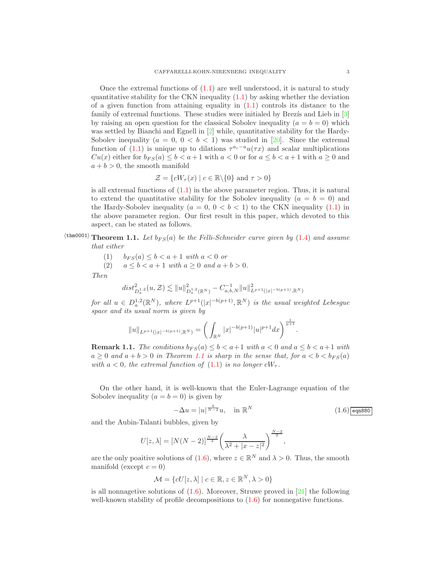Once the extremal functions of  $(1.1)$  are well understood, it is natural to study quantitative stability for the CKN inequality  $(1.1)$  by asking whether the deviation of a given function from attaining equality in  $(1.1)$  controls its distance to the family of extremal functions. These studies were initialed by Brez $i$ s and Lieb in  $[3]$ by raising an open question for the classical Sobolev inequality ( $a = b = 0$ ) which was settled by Bianchi and Egnell in  $[2]$  while, quantitative stability for the Hardy-Sobolev inequality  $(a = 0, 0 < b < 1)$  was studied in [\[20\]](#page-28-8). Since the extremal function of [\(1.1\)](#page-0-0) is unique up to dilations  $\tau^{a_c-a}u(\tau x)$  and scalar multiplications  $Cu(x)$  either for  $b_{FS}(a) \leq b < a+1$  with  $a < 0$  or for  $a \leq b < a+1$  with  $a \geq 0$  and  $a + b > 0$ , the smooth manifold

$$
\mathcal{Z} = \{cW_{\tau}(x) \mid c \in \mathbb{R} \backslash \{0\} \text{ and } \tau > 0\}
$$

is all extremal functions of [\(1.1\)](#page-0-0) in the above parameter region. Thus, it is natural to extend the quantitative stability for the Sobolev inequality  $(a = b = 0)$  and the Hardy-Sobolev inequality ( $a = 0, 0 < b < 1$ ) to the CKN inequality [\(1.1\)](#page-0-0) in the above parameter region. Our first result in this paper, which devoted to this aspect, can be stated as follows.

 $\langle$ <sup>thm0001</sup>) Theorem 1.1. Let  $b_{FS}(a)$  be the Felli-Schneider curve given by [\(1.4\)](#page-1-1) and assume that either

<span id="page-2-0"></span>
$$
(1) \qquad b_{FS}(a) \le b < a+1 \text{ with } a < 0 \text{ or}
$$

(2)  $a \le b < a + 1$  with  $a \ge 0$  and  $a + b > 0$ .

Then

$$
dist_{D_a^{1,2}}^2(u, \mathcal{Z}) \lesssim \|u\|_{D_a^{1,2}(\mathbb{R}^N)}^2 - C_{a,b,N}^{-1} \|u\|_{L^{p+1}(|x|^{-b(p+1)}, \mathbb{R}^N)}^2
$$

for all  $u \in D_a^{1,2}(\mathbb{R}^N)$ , where  $L^{p+1}(|x|^{-b(p+1)}, \mathbb{R}^N)$  is the usual weighted Lebesgue space and its usual norm is given by

$$
||u||_{L^{p+1}(|x|^{-b(p+1)},\mathbb{R}^N)} = \left(\int_{\mathbb{R}^N} |x|^{-b(p+1)} |u|^{p+1} dx\right)^{\frac{1}{p+1}}.
$$

**Remark 1.1.** The conditions  $b_{FS}(a) \leq b < a+1$  with  $a < 0$  and  $a \leq b < a+1$  with  $a \geq 0$  and  $a + b > 0$  in Theorem [1.1](#page-2-0) is sharp in the sense that, for  $a < b < b_{FS}(a)$ with  $a < 0$ , the extremal function of  $(1.1)$  is no longer  $cW_{\tau}$ .

On the other hand, it is well-known that the Euler-Lagrange equation of the Sobolev inequality  $(a = b = 0)$  is given by

<span id="page-2-1"></span>
$$
-\Delta u = |u|^{\frac{4}{N-2}}u, \quad \text{in } \mathbb{R}^N
$$
\n(1.6) eqn880

and the Aubin-Talanti bubbles, given by

$$
U[z, \lambda] = [N(N-2)]^{\frac{N-2}{4}} \left(\frac{\lambda}{\lambda^2 + |x - z|^2}\right)^{\frac{N-2}{2}},
$$

are the only poaitive solutions of  $(1.6)$ , where  $z \in \mathbb{R}^N$  and  $\lambda > 0$ . Thus, the smooth manifold (except  $c = 0$ )

$$
\mathcal{M} = \{cU[z, \lambda] \mid c \in \mathbb{R}, z \in \mathbb{R}^N, \lambda > 0\}
$$

is all nonnagetive solutions of  $(1.6)$ . Moreover, Struwe proved in [\[21\]](#page-28-9) the following well-known stability of profile decompositions to  $(1.6)$  for nonnegative functions.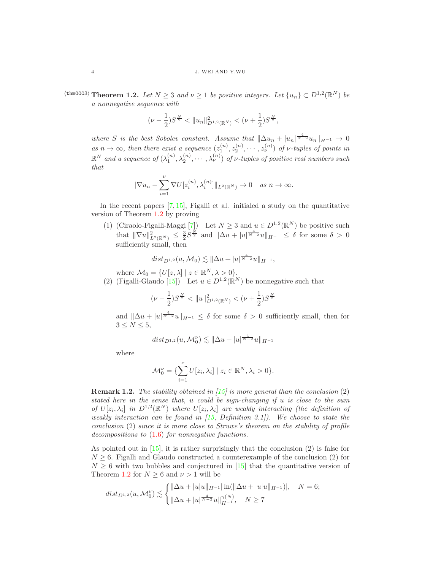<span id="page-3-0"></span> $\langle \text{thm0003} \rangle$  Theorem 1.2. Let  $N \geq 3$  and  $\nu \geq 1$  be positive integers. Let  $\{u_n\} \subset D^{1,2}(\mathbb{R}^N)$  be a nonnegative sequence with

$$
(\nu - \frac{1}{2})S^{\frac{N}{2}} < \|u_n\|_{D^{1,2}(\mathbb{R}^N)}^2 < (\nu + \frac{1}{2})S^{\frac{N}{2}},
$$

where S is the best Sobolev constant. Assume that  $\|\Delta u_n + |u_n|^{\frac{4}{N-2}}u_n\|_{H^{-1}} \to 0$ as  $n \to \infty$ , then there exist a sequence  $(z_1^{(n)}, z_2^{(n)}, \cdots, z_{\nu}^{(n)})$  of  $\nu$ -tuples of points in  $\mathbb{R}^N$  and a sequence of  $(\lambda_1^{(n)}, \lambda_2^{(n)}, \cdots, \lambda_\nu^{(n)})$  of  $\nu$ -tuples of positive real numbers such that

$$
\|\nabla u_n - \sum_{i=1}^{\nu} \nabla U[z_i^{(n)}, \lambda_i^{(n)}] \|_{L^2(\mathbb{R}^N)} \to 0 \quad \text{as } n \to \infty.
$$

In the recent papers  $[7, 15]$  $[7, 15]$ , Figalli et al. initialed a study on the quantitative version of Theorem [1.2](#page-3-0) by proving

(1) (Ciraolo-Figalli-Maggi [\[7\]](#page-27-0)) Let  $N \geq 3$  and  $u \in D^{1,2}(\mathbb{R}^N)$  be positive such that  $\|\nabla u\|_{L^2(\mathbb{R}^N)}^2 \leq \frac{3}{2} S^{\frac{N}{2}}$  and  $\|\Delta u + |u|^{\frac{4}{N-2}} u\|_{H^{-1}} \leq \delta$  for some  $\delta > 0$ sufficiently small, then

$$
dist_{D^{1,2}}(u, \mathcal{M}_0) \lesssim ||\Delta u + |u|^{\frac{4}{N-2}}u||_{H^{-1}},
$$

where  $\mathcal{M}_0 = \{ U[z, \lambda] \mid z \in \mathbb{R}^N, \lambda > 0 \}.$ 

(2) (Figalli-Glaudo [\[15\]](#page-28-1)) Let  $u \in D^{1,2}(\mathbb{R}^N)$  be nonnegative such that

$$
(\nu - \frac{1}{2})S^{\frac{N}{2}} < \|u\|_{D^{1,2}(\mathbb{R}^N)}^2 < (\nu + \frac{1}{2})S^{\frac{N}{2}}
$$

and  $\|\Delta u + |u|^{\frac{4}{N-2}}u\|_{H^{-1}} \leq \delta$  for some  $\delta > 0$  sufficiently small, then for  $3 \leq N \leq 5$ ,

$$
dist_{D^{1,2}}(u, \mathcal{M}_0^{\nu}) \lesssim ||\Delta u + |u|^{\frac{4}{N-2}}u||_{H^{-1}}
$$

where

$$
\mathcal{M}_0^{\nu} = \{ \sum_{i=1}^{\nu} U[z_i, \lambda_i] \mid z_i \in \mathbb{R}^N, \lambda_i > 0 \}.
$$

**Remark 1.2.** The stability obtained in  $(15)$  is more general than the conclusion  $(2)$ stated here in the sense that, u could be sign-changing if u is close to the sum of  $U[z_i, \lambda_i]$  in  $D^{1,2}(\mathbb{R}^N)$  where  $U[z_i, \lambda_i]$  are weakly interacting (the definition of weakly interaction can be found in  $(15, Definition 3.1)$ . We choose to state the conclusion (2) since it is more close to Struwe's theorem on the stability of profile decompositions to  $(1.6)$  for nonnegative functions.

As pointed out in  $[15]$ , it is rather surprisingly that the conclusion  $(2)$  is false for  $N \geq 6$ . Figalli and Glaudo constructed a counterexample of the conclusion (2) for  $N \geq 6$  with two bubbles and conjectured in [\[15\]](#page-28-1) that the quantitative version of Theorem [1.2](#page-3-0) for  $N \geq 6$  and  $\nu > 1$  will be

$$
dist_{D^{1,2}}(u, \mathcal{M}_0^{\nu}) \lesssim \begin{cases} \|\Delta u + |u|u\|_{H^{-1}} |\ln(\|\Delta u + |u|u\|_{H^{-1}})|, & N = 6; \\ \|\Delta u + |u|^{\frac{4}{N-2}} u\|_{H^{-1}}^{\gamma(N)}, & N \ge 7 \end{cases}
$$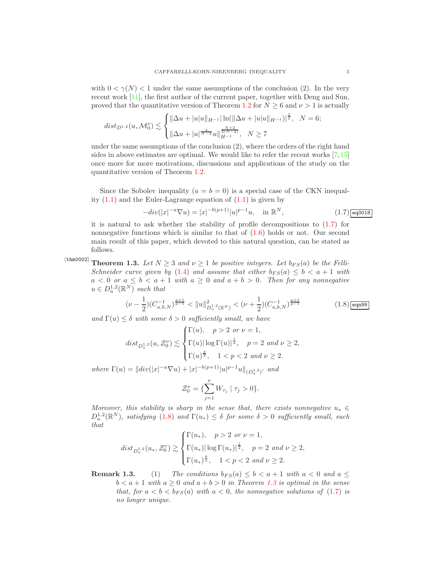with  $0 < \gamma(N) < 1$  under the same assumptions of the conclusion (2). In the very recent work [\[11\]](#page-28-0), the first author of the current paper, together with Deng and Sun, proved that the quantitative version of Theorem [1.2](#page-3-0) for  $N \geq 6$  and  $\nu > 1$  is actually

$$
dist_{D^{1,2}}(u, \mathcal{M}_0^{\nu}) \lesssim \begin{cases} \|\Delta u + |u|u\|_{H^{-1}} |\ln(\|\Delta u + |u|u\|_{H^{-1}})|^{\frac{1}{2}}, & N = 6; \\ \|\Delta u + |u|^{\frac{4}{N-2}} u\|_{H^{-1}}^{\frac{2(N-2)}{2(N-2)}}, & N \ge 7 \end{cases}
$$

under the same assumptions of the conclusion (2), where the orders of the right hand sides in above estimates are optimal. We would like to refer the recent works  $[7,15]$  $[7,15]$ once more for more motivations, discussions and applications of the study on the quantitative version of Theorem [1.2.](#page-3-0)

Since the Sobolev inequality  $(a = b = 0)$  is a special case of the CKN inequality  $(1.1)$  and the Euler-Lagrange equation of  $(1.1)$  is given by

<span id="page-4-0"></span>
$$
-div(|x|^{-a}\nabla u) = |x|^{-b(p+1)}|u|^{p-1}u, \quad \text{in } \mathbb{R}^N,
$$
\n(1.7)  $\boxed{\text{eq0018}}$ 

it is natural to ask whether the stability of profile decompositions to [\(1.7\)](#page-4-0) for nonnegative functions which is similar to that of  $(1.6)$  holds or not. Our second main result of this paper, which devoted to this natural question, can be stated as follows.

 $\langle\tanh0002\rangle$ 

<span id="page-4-2"></span>**Theorem 1.3.** Let  $N \geq 3$  and  $\nu \geq 1$  be positive integers. Let  $b_{FS}(a)$  be the Felli-Schneider curve given by [\(1.4\)](#page-1-1) and assume that either  $b_{FS}(a) \leq b < a+1$  with  $a < 0$  or  $a \leq b < a + 1$  with  $a \geq 0$  and  $a + b > 0$ . Then for any nonnegative  $u \in D_a^{1,2}(\mathbb{R}^N)$  such that

<span id="page-4-1"></span>
$$
(\nu - \frac{1}{2})(C_{a,b,N}^{-1})^{\frac{p+1}{p-1}} < ||u||_{D_a^{1,2}(\mathbb{R}^N)}^2 < (\nu + \frac{1}{2})(C_{a,b,N}^{-1})^{\frac{p+1}{p-1}}
$$
(1.8) eqn99

and  $\Gamma(u) \leq \delta$  with some  $\delta > 0$  sufficiently small, we have

$$
dist_{D_a^{1,2}}(u, \mathcal{Z}_0^{\nu}) \lesssim \begin{cases} \Gamma(u), & p > 2 \text{ or } \nu = 1, \\ \Gamma(u) |\log \Gamma(u)|^{\frac{1}{2}}, & p = 2 \text{ and } \nu \ge 2, \\ \Gamma(u)^{\frac{p}{2}}, & 1 < p < 2 \text{ and } \nu \ge 2. \end{cases}
$$

where  $\Gamma(u) = ||div(|x|^{-a}\nabla u) + |x|^{-b(p+1)}|u|^{p-1}u||_{(D_a^{1,2})'}$  and

$$
\mathcal{Z}_0^{\nu} = \{ \sum_{j=1}^{\nu} W_{\tau_j} \mid \tau_j > 0 \}.
$$

Moreover, this stability is sharp in the sense that, there exists nonnegative  $u_* \in$  $D_a^{1,2}(\mathbb{R}^N)$ , satisfying [\(1.8\)](#page-4-1) and  $\Gamma(u_*) \leq \delta$  for some  $\delta > 0$  sufficiently small, such that

$$
dist_{D_a^{1,2}}(u_*, \mathcal{Z}_0^{\nu}) \gtrsim \begin{cases} \Gamma(u_*), & p > 2 \ \ or \ \nu = 1, \\ \Gamma(u_*) |\log \Gamma(u_*)|^{\frac{1}{2}}, & p = 2 \ \ and \ \nu \geq 2, \\ \Gamma(u_*)^{\frac{p}{2}}, & 1 < p < 2 \ \ and \ \nu \geq 2. \end{cases}
$$

**Remark 1.3.** (1) The conditions  $b_{FS}(a) \leq b < a+1$  with  $a < 0$  and  $a \leq$  $b < a + 1$  with  $a \ge 0$  and  $a + b > 0$  in Theorem [1.3](#page-4-2) is optimal in the sense that, for  $a < b < b_{FS}(a)$  with  $a < 0$ , the nonnegative solutions of [\(1.7\)](#page-4-0) is no longer unique.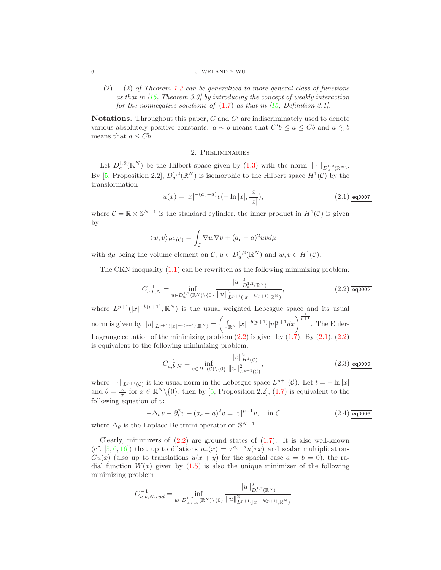#### 6 J. WEI AND Y.WU

 $(2)$  (2) of Theorem [1.3](#page-4-2) can be generalized to more general class of functions as that in  $(15,$  Theorem 3.3] by introducing the concept of weakly interaction for the nonnegative solutions of  $(1.7)$  as that in  $\overline{15}$ , Definition 3.1.

**Notations.** Throughout this paper,  $C$  and  $C'$  are indiscriminately used to denote various absolutely positive constants.  $a \sim b$  means that  $C'b \le a \le Cb$  and  $a \lesssim b$ means that  $a \leq Cb$ .

# 2. Preliminaries

Let  $D_a^{1,2}(\mathbb{R}^N)$  be the Hilbert space given by  $(1.3)$  with the norm  $\|\cdot\|_{D_a^{1,2}(\mathbb{R}^N)}$ . By [\[5,](#page-27-2) Proposition 2.2],  $D_a^{1,2}(\mathbb{R}^N)$  is isomorphic to the Hilbert space  $H^1(\mathcal{C})$  by the transformation

<span id="page-5-1"></span>
$$
u(x) = |x|^{-(a_c - a)}v(-\ln|x|, \frac{x}{|x|}),
$$
\n(2.1)

where  $C = \mathbb{R} \times \mathbb{S}^{N-1}$  is the standard cylinder, the inner product in  $H^1(\mathcal{C})$  is given by

$$
\langle w, v \rangle_{H^1(\mathcal{C})} = \int_{\mathcal{C}} \nabla w \nabla v + (a_c - a)^2 uv d\mu
$$

with  $d\mu$  being the volume element on  $\mathcal{C}, u \in D_a^{1,2}(\mathbb{R}^N)$  and  $w, v \in H^1(\mathcal{C})$ .

The CKN inequality  $(1.1)$  can be rewritten as the following minimizing problem:

<span id="page-5-0"></span>
$$
C_{a,b,N}^{-1} = \inf_{u \in D_a^{1,2}(\mathbb{R}^N)\backslash\{0\}} \frac{\|u\|_{D_a^{1,2}(\mathbb{R}^N)}^2}{\|u\|_{L^{p+1}(|x|^{-b(p+1)}, \mathbb{R}^N)}^2},
$$
(2.2)

where  $L^{p+1}(|x|^{-b(p+1)}, \mathbb{R}^{N})$  is the usual weighted Lebesgue space and its usual norm is given by  $||u||_{L^{p+1}(|x|^{-b(p+1)}, \mathbb{R}^N)} =$  $\left(\int_{\mathbb{R}^N} |x|^{-b(p+1)}|u|^{p+1}dx\right)^{\frac{1}{p+1}}$ . The Euler-Lagrange equation of the minimizing problem  $(2.2)$  is given by  $(1.7)$ . By  $(2.1)$ ,  $(2.2)$ is equivalent to the following minimizing problem:

<span id="page-5-3"></span>
$$
C_{a,b,N}^{-1} = \inf_{v \in H^1(\mathcal{C}) \setminus \{0\}} \frac{\|v\|_{H^1(\mathcal{C})}^2}{\|u\|_{L^{p+1}(\mathcal{C})}^2},\tag{2.3)}
$$

where  $\|\cdot\|_{L^{p+1}(\mathcal{C})}$  is the usual norm in the Lebesgue space  $L^{p+1}(\mathcal{C})$ . Let  $t = -\ln|x|$ and  $\theta = \frac{x}{|x|}$  for  $x \in \mathbb{R}^N \setminus \{0\}$ , then by [\[5,](#page-27-2) Proposition 2.2], [\(1.7\)](#page-4-0) is equivalent to the following equation of  $v$ :

<span id="page-5-2"></span>
$$
-\Delta_{\theta}v - \partial_t^2 v + (a_c - a)^2 v = |v|^{p-1}v, \quad \text{in } C
$$
 (2.4)

where  $\Delta_{\theta}$  is the Laplace-Beltrami operator on  $\mathbb{S}^{N-1}$ .

Clearly, minimizers of  $(2.2)$  are ground states of  $(1.7)$ . It is also well-known (cf. [\[5,](#page-27-2) [6,](#page-27-4) [16\]](#page-28-4)) that up to dilations  $u_{\tau}(x) = \tau^{a_c-a} u(\tau x)$  and scalar multiplications  $Cu(x)$  (also up to translations  $u(x + y)$  for the spacial case  $a = b = 0$ ), the radial function  $W(x)$  given by [\(1.5\)](#page-1-3) is also the unique minimizer of the following minimizing problem

$$
C_{a,b,N,rad}^{-1} = \inf_{u \in D_{a,rad}^{1,2}(\mathbb{R}^N)\backslash\{0\}} \frac{\|u\|_{D_a^{1,2}(\mathbb{R}^N)}^2}{\|u\|_{L^{p+1}(|x|^{-b(p+1)},\mathbb{R}^N)}^2}
$$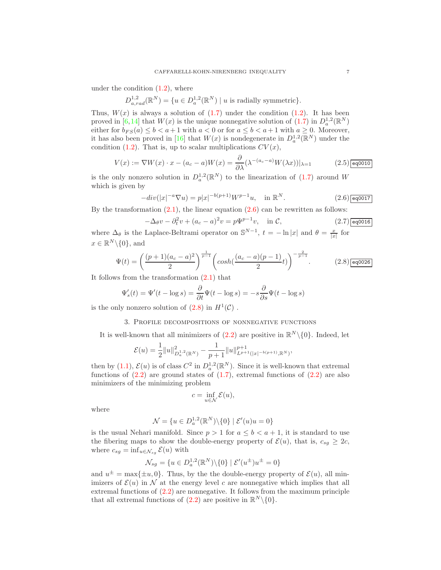under the condition  $(1.2)$ , where

$$
D_{a,rad}^{1,2}(\mathbb{R}^N) = \{ u \in D_a^{1,2}(\mathbb{R}^N) \mid u \text{ is radially symmetric} \}.
$$

Thus,  $W(x)$  is always a solution of  $(1.7)$  under the condition  $(1.2)$ . It has been proved in [\[6,](#page-27-4)[14\]](#page-28-6) that  $W(x)$  is the unique nonnegative solution of  $(1.7)$  in  $D_a^{1,2}(\mathbb{R}^N)$ either for  $b_{FS}(a) \leq b < a+1$  with  $a < 0$  or for  $a \leq b < a+1$  with  $a \geq 0$ . Moreover, it has also been proved in [\[16\]](#page-28-4) that  $W(x)$  is nondegenerate in  $D_a^{1,2}(\mathbb{R}^N)$  under the condition [\(1.2\)](#page-1-0). That is, up to scalar multiplications  $CV(x)$ ,

<span id="page-6-2"></span>
$$
V(x) := \nabla W(x) \cdot x - (a_c - a)W(x) = \frac{\partial}{\partial \lambda} (\lambda^{-(a_c - a)} W(\lambda x))|_{\lambda = 1}
$$
 (2.5) eq0010

is the only nonzero solution in  $D_a^{1,2}(\mathbb{R}^N)$  to the linearization of [\(1.7\)](#page-4-0) around W which is given by

<span id="page-6-0"></span>
$$
-div(|x|^{-a}\nabla u) = p|x|^{-b(p+1)}W^{p-1}u, \quad \text{in } \mathbb{R}^N. \tag{2.6) } \boxed{\text{eq0017}}
$$

By the transformation  $(2.1)$ , the linear equation  $(2.6)$  can be rewritten as follows:

<span id="page-6-3"></span>
$$
-\Delta_{\theta}v - \partial_t^2 v + (a_c - a)^2 v = p\Psi^{p-1}v, \quad \text{in } C,
$$
\n(2.7)  $\boxed{\text{eq0016}}$ 

where  $\Delta_{\theta}$  is the Laplace-Beltrami operator on  $\mathbb{S}^{N-1}$ ,  $t = -\ln|x|$  and  $\theta = \frac{x}{|x|}$  for  $x \in \mathbb{R}^N \backslash \{0\}$ , and

<span id="page-6-1"></span>
$$
\Psi(t) = \left(\frac{(p+1)(a_c-a)^2}{2}\right)^{\frac{1}{p-1}} \left(\cosh\left(\frac{(a_c-a)(p-1)}{2}t\right)\right)^{-\frac{2}{p-1}}.\tag{2.8)}\text{eq0026}
$$

It follows from the transformation [\(2.1\)](#page-5-1) that

$$
\Psi_s'(t) = \Psi'(t - \log s) = \frac{\partial}{\partial t} \Psi(t - \log s) = -s \frac{\partial}{\partial s} \Psi(t - \log s)
$$

is the only nonzero solution of  $(2.8)$  in  $H<sup>1</sup>(\mathcal{C})$ .

## 3. Profile decompositions of nonnegative functions

It is well-known that all minimizers of  $(2.2)$  are positive in  $\mathbb{R}^N \setminus \{0\}$ . Indeed, let

$$
\mathcal{E}(u) = \frac{1}{2} ||u||_{D_a^{1,2}(\mathbb{R}^N)}^2 - \frac{1}{p+1} ||u||_{L^{p+1}(|x|^{-b(p+1)},\mathbb{R}^N)}^{p+1},
$$

then by [\(1.1\)](#page-0-0),  $\mathcal{E}(u)$  is of class  $C^2$  in  $D_a^{1,2}(\mathbb{R}^N)$ . Since it is well-known that extremal functions of  $(2.2)$  are ground states of  $(1.7)$ , extremal functions of  $(2.2)$  are also minimizers of the minimizing problem

$$
c = \inf_{u \in \mathcal{N}} \mathcal{E}(u),
$$

where

$$
\mathcal{N} = \{ u \in D_a^{1,2}(\mathbb{R}^N) \backslash \{0\} \mid \mathcal{E}'(u)u = 0 \}
$$

is the usual Nehari manifold. Since  $p > 1$  for  $a \leq b < a + 1$ , it is standard to use the fibering maps to show the double-energy property of  $\mathcal{E}(u)$ , that is,  $c_{sg} \geq 2c$ , where  $c_{sg} = \inf_{u \in \mathcal{N}_{sg}} \mathcal{E}(u)$  with

$$
\mathcal{N}_{sg} = \{ u \in D_a^{1,2}(\mathbb{R}^N) \backslash \{0\} \mid \mathcal{E}'(u^{\pm})u^{\pm} = 0 \}
$$

and  $u^{\pm} = \max{\{\pm u, 0\}}$ . Thus, by the the double-energy property of  $\mathcal{E}(u)$ , all minimizers of  $\mathcal{E}(u)$  in N at the energy level c are nonnegative which implies that all extremal functions of [\(2.2\)](#page-5-0) are nonnegative. It follows from the maximum principle that all extremal functions of [\(2.2\)](#page-5-0) are positive in  $\mathbb{R}^N \setminus \{0\}$ .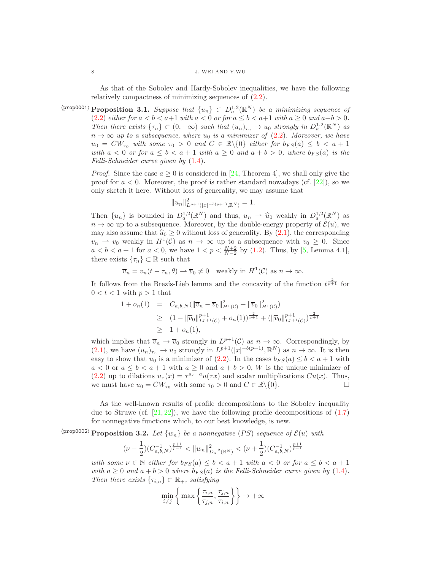#### 8 J. WEI AND Y.WU

<span id="page-7-0"></span>As that of the Sobolev and Hardy-Sobolev inequalities, we have the following relatively compactness of minimizing sequences of [\(2.2\)](#page-5-0).

 $\langle \text{prop0001} \rangle$  **Proposition 3.1.** Suppose that  $\{u_n\} \subset D_a^{1,2}(\mathbb{R}^N)$  be a minimizing sequence of [\(2.2\)](#page-5-0) either for  $a < b < a+1$  with  $a < 0$  or for  $a \le b < a+1$  with  $a \ge 0$  and  $a+b > 0$ . Then there exists  $\{\tau_n\} \subset (0, +\infty)$  such that  $(u_n)_{\tau_n} \to u_0$  strongly in  $D_a^{1,2}(\mathbb{R}^N)$  as  $n \to \infty$  up to a subsequence, where  $u_0$  is a minimizer of  $(2.2)$ . Moreover, we have  $u_0 = CW_{\tau_0}$  with some  $\tau_0 > 0$  and  $C \in \mathbb{R} \setminus \{0\}$  either for  $b_{FS}(a) \leq b < a + 1$ with  $a < 0$  or for  $a \leq b < a + 1$  with  $a \geq 0$  and  $a + b > 0$ , where  $b_{FS}(a)$  is the Felli-Schneider curve given by  $(1.4)$ .

> *Proof.* Since the case  $a \geq 0$  is considered in [\[24,](#page-28-10) Theorem 4], we shall only give the proof for  $a < 0$ . Moreover, the proof is rather standard nowadays (cf. [\[22\]](#page-28-11)), so we only sketch it here. Without loss of generality, we may assume that

$$
||u_n||_{L^{p+1}(|x|^{-b(p+1)}, \mathbb{R}^N)}^2 = 1.
$$

Then  $\{u_n\}$  is bounded in  $D_a^{1,2}(\mathbb{R}^N)$  and thus,  $u_n \to \hat{u}_0$  weakly in  $D_a^{1,2}(\mathbb{R}^N)$  as  $n \to \infty$  up to a subsequence. Moreover, by the double-energy property of  $\mathcal{E}(u)$ , we may also assume that  $\hat{u}_0 \geq 0$  without loss of generality. By [\(2.1\)](#page-5-1), the corresponding  $v_n \rightharpoonup v_0$  weakly in  $H^1(\mathcal{C})$  as  $n \to \infty$  up to a subsequence with  $v_0 \geq 0$ . Since  $a < b < a + 1$  for  $a < 0$ , we have  $1 < p < \frac{N+2}{N-2}$  by [\(1.2\)](#page-1-0). Thus, by [\[5,](#page-27-2) Lemma 4.1], there exists  $\{\tau_n\} \subset \mathbb{R}$  such that

$$
\overline{v}_n = v_n(t - \tau_n, \theta) \to \overline{v}_0 \neq 0
$$
 weakly in  $H^1(\mathcal{C})$  as  $n \to \infty$ .

It follows from the Brezis-Lieb lemma and the concavity of the function  $t^{\frac{2}{p+1}}$  for  $0 < t < 1$  with  $p > 1$  that

$$
\begin{array}{rcl}\n1 + o_n(1) & = & C_{a,b,N}(\|\overline{v}_n - \overline{v}_0\|_{H^1(\mathcal{C})}^2 + \|\overline{v}_0\|_{H^1(\mathcal{C})}^2) \\
& \geq & \left(1 - \|\overline{v}_0\|_{L^{p+1}(\mathcal{C})}^{p+1} + o_n(1)\right)^{\frac{2}{p+1}} + (\|\overline{v}_0\|_{L^{p+1}(\mathcal{C})}^{p+1})^{\frac{2}{p+1}} \\
& \geq & 1 + o_n(1),\n\end{array}
$$

which implies that  $\overline{v}_n \to \overline{v}_0$  strongly in  $L^{p+1}(\mathcal{C})$  as  $n \to \infty$ . Correspondingly, by [\(2.1\)](#page-5-1), we have  $(u_n)_{\tau_n} \to u_0$  strongly in  $L^{p+1}(|x|^{-b(p+1)}, \mathbb{R}^N)$  as  $n \to \infty$ . It is then easy to show that  $u_0$  is a minimizer of [\(2.2\)](#page-5-0). In the cases  $b_{FS}(a) \leq b < a+1$  with  $a < 0$  or  $a \leq b < a + 1$  with  $a \geq 0$  and  $a + b > 0$ , W is the unique minimizer of [\(2.2\)](#page-5-0) up to dilations  $u_{\tau}(x) = \tau^{a_c-a} u(\tau x)$  and scalar multiplications  $Cu(x)$ . Thus, we must have  $u_0 = CW_{\tau_0}$  with some  $\tau_0 > 0$  and  $C \in \mathbb{R} \setminus \{0\}.$ 

As the well-known results of profile decompositions to the Sobolev inequality due to Struwe (cf.  $[21, 22]$  $[21, 22]$ ), we have the following profile decompositions of  $(1.7)$ for nonnegative functions which, to our best knowledge, is new.

 $\langle \text{prop0002} \rangle$  Proposition 3.2. Let  $\{w_n\}$  be a nonnegative  $(PS)$  sequence of  $\mathcal{E}(u)$  with

$$
(\nu - \frac{1}{2})(C_{a,b,N}^{-1})^{\frac{p+1}{p-1}} < ||w_n||_{D_a^{1,2}(\mathbb{R}^N)}^2 < (\nu + \frac{1}{2})(C_{a,b,N}^{-1})^{\frac{p+1}{p-1}}
$$

<span id="page-7-1"></span>with some  $\nu \in \mathbb{N}$  either for  $b_{FS}(a) \leq b < a+1$  with  $a < 0$  or for  $a \leq b < a+1$ with  $a \geq 0$  and  $a + b > 0$  where  $b_{FS}(a)$  is the Felli-Schneider curve given by [\(1.4\)](#page-1-1). Then there exists  $\{\tau_{i,n}\}\subset \mathbb{R}_+$ , satisfying

$$
\min_{i \neq j} \bigg\{ \max \bigg\{ \frac{\tau_{i,n}}{\tau_{j,n}}, \frac{\tau_{j,n}}{\tau_{i,n}} \bigg\} \bigg\} \to +\infty
$$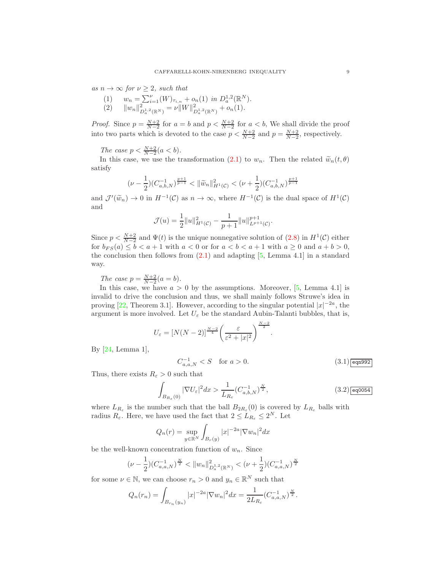as  $n \to \infty$  for  $\nu \geq 2$ , such that

(1) 
$$
w_n = \sum_{i=1}^{\nu} (W)_{\tau_{i,n}} + o_n(1) \text{ in } D_a^{1,2}(\mathbb{R}^N).
$$
  
(2) 
$$
||w_n||_{D_a^{1,2}(\mathbb{R}^N)}^2 = \nu ||W||_{D_a^{1,2}(\mathbb{R}^N)}^2 + o_n(1).
$$

*Proof.* Since  $p = \frac{N+2}{N-2}$  for  $a = b$  and  $p < \frac{N+2}{N-2}$  for  $a < b$ , We shall divide the proof into two parts which is devoted to the case  $p < \frac{N+2}{N-2}$  and  $p = \frac{N+2}{N-2}$ , respectively.

The case  $p < \frac{N+2}{N-2}(a < b)$ .

In this case, we use the transformation [\(2.1\)](#page-5-1) to  $w_n$ . Then the related  $\widetilde{w}_n(t, \theta)$ satisfy

$$
(\nu - \frac{1}{2})(C_{a,b,N}^{-1})^{\frac{p+1}{p-1}} < ||\widetilde{w}_n||_{H^1(\mathcal{C})}^2 < (\nu + \frac{1}{2})(C_{a,b,N}^{-1})^{\frac{p+1}{p-1}}
$$

and  $\mathcal{J}'(\widetilde{w}_n) \to 0$  in  $H^{-1}(\mathcal{C})$  as  $n \to \infty$ , where  $H^{-1}(\mathcal{C})$  is the dual space of  $H^1(\mathcal{C})$ and

$$
\mathcal{J}(u) = \frac{1}{2} ||u||_{H^1(\mathcal{C})}^2 - \frac{1}{p+1} ||u||_{L^{p+1}(\mathcal{C})}^{p+1}.
$$

Since  $p < \frac{N+2}{N-2}$  and  $\Psi(t)$  is the unique nonnegative solution of [\(2.8\)](#page-6-1) in  $H^1(\mathcal{C})$  either for  $b_{FS}(a) \leq b < a+1$  with  $a < 0$  or for  $a < b < a+1$  with  $a \geq 0$  and  $a+b > 0$ , the conclusion then follows from [\(2.1\)](#page-5-1) and adapting [\[5,](#page-27-2) Lemma 4.1] in a standard way.

The case  $p = \frac{N+2}{N-2}(a = b)$ .

In this case, we have  $a > 0$  by the assumptions. Moreover, [\[5,](#page-27-2) Lemma 4.1] is invalid to drive the conclusion and thus, we shall mainly follows Struwe's idea in proving [\[22,](#page-28-11) Theorem 3.1]. However, according to the singular potential  $|x|^{-2a}$ , the argument is more involved. Let  $U_{\varepsilon}$  be the standard Aubin-Talanti bubbles, that is,

$$
U_{\varepsilon} = [N(N-2)]^{\frac{N-2}{4}} \left(\frac{\varepsilon}{\varepsilon^2 + |x|^2}\right)^{\frac{N-2}{2}}
$$

By [\[24,](#page-28-10) Lemma 1],

<span id="page-8-0"></span>
$$
C_{a,a,N}^{-1}0.\tag{3.1)}\boxed{\text{eqn992}}
$$

.

Thus, there exists  $R_{\varepsilon} > 0$  such that

<span id="page-8-1"></span>
$$
\int_{B_{R_{\varepsilon}}(0)} |\nabla U_{\varepsilon}|^2 dx > \frac{1}{L_{R_{\varepsilon}}} (C_{a,b,N}^{-1})^{\frac{N}{2}},\tag{3.2)} \boxed{\text{eq0054}}
$$

where  $L_{R_{\varepsilon}}$  is the number such that the ball  $B_{2R_{\varepsilon}}(0)$  is covered by  $L_{R_{\varepsilon}}$  balls with radius  $R_{\varepsilon}$ . Here, we have used the fact that  $2 \leq L_{R_{\varepsilon}} \leq 2^N$ . Let

$$
Q_n(r) = \sup_{y \in \mathbb{R}^N} \int_{B_r(y)} |x|^{-2a} |\nabla w_n|^2 dx
$$

be the well-known concentration function of  $w_n$ . Since

$$
(\nu - \frac{1}{2})(C_{a,a,N}^{-1})^{\frac{N}{2}} < ||w_n||_{D_a^{1,2}(\mathbb{R}^N)}^2 < (\nu + \frac{1}{2})(C_{a,a,N}^{-1})^{\frac{N}{2}}
$$

for some  $\nu \in \mathbb{N}$ , we can choose  $r_n > 0$  and  $y_n \in \mathbb{R}^N$  such that

$$
Q_n(r_n) = \int_{B_{r_n}(y_n)} |x|^{-2a} |\nabla w_n|^2 dx = \frac{1}{2L_{R_{\varepsilon}}} (C_{a,a,N}^{-1})^{\frac{N}{2}}.
$$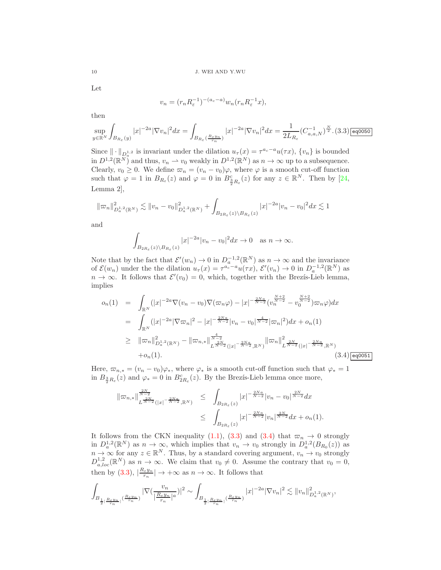Let

$$
v_n = (r_n R_{\varepsilon}^{-1})^{-(a_c - a)} w_n (r_n R_{\varepsilon}^{-1} x),
$$

then

<span id="page-9-0"></span>
$$
\sup_{y\in\mathbb{R}^N}\int_{B_{R_\varepsilon}(y)}|x|^{-2a}|\nabla v_n|^2dx=\int_{B_{R_\varepsilon}\left(\frac{R_\varepsilon y_n}{r_n}\right)}|x|^{-2a}|\nabla v_n|^2dx=\frac{1}{2L_{R_\varepsilon}}(C_{a,a,N}^{-1})^{\frac{N}{2}}.(3.3)\fbox{[eq050]}
$$

Since  $\|\cdot\|_{D^{1,2}_{\alpha}}$  is invariant under the dilation  $u_{\tau}(x) = \tau^{a_c-a}u(\tau x)$ ,  $\{v_n\}$  is bounded in  $D^{1,2}(\mathbb{R}^N)$  and thus,  $v_n \rightharpoonup v_0$  weakly in  $D^{1,2}(\mathbb{R}^N)$  as  $n \to \infty$  up to a subsequence. Clearly,  $v_0 \ge 0$ . We define  $\overline{\omega}_n = (v_n - v_0)\varphi$ , where  $\varphi$  is a smooth cut-off function such that  $\varphi = 1$  in  $B_{R_{\varepsilon}}(z)$  and  $\varphi = 0$  in  $B_{\frac{3}{2}R_{\varepsilon}}(z)$  for any  $z \in \mathbb{R}^{N}$ . Then by [\[24,](#page-28-10) Lemma 2],

$$
\|\varpi_n\|^2_{D^{1,2}_a(\mathbb R^N)} \lesssim \|v_n-v_0\|^2_{D^{1,2}_a(\mathbb R^N)} + \int_{B_{2R_\varepsilon}(z)\backslash B_{R_\varepsilon}(z)} |x|^{-2a}|v_n-v_0|^2 dx \lesssim 1
$$

and

$$
\int_{B_{2R_{\varepsilon}}(z)\backslash B_{R_{\varepsilon}}(z)}|x|^{-2a}|v_n-v_0|^2dx\to 0 \quad \text{as } n\to\infty.
$$

Note that by the fact that  $\mathcal{E}'(w_n) \to 0$  in  $D_a^{-1,2}(\mathbb{R}^N)$  as  $n \to \infty$  and the invariance of  $\mathcal{E}(w_n)$  under the the dilation  $u_\tau(x) = \tau^{a_c-a} u(\tau x)$ ,  $\mathcal{E}'(v_n) \to 0$  in  $D_a^{-1,2}(\mathbb{R}^N)$  as  $n \to \infty$ . It follows that  $\mathcal{E}'(v_0) = 0$ , which, together with the Brezis-Lieb lemma, implies

<span id="page-9-1"></span>
$$
o_n(1) = \int_{\mathbb{R}^N} (|x|^{-2a} \nabla (v_n - v_0) \nabla (\varpi_n \varphi) - |x|^{-\frac{2Na}{N-2}} (v_n^{\frac{N+2}{N-2}} - v_0^{\frac{N+2}{N-2}}) \varpi_n \varphi) dx
$$
  
\n
$$
= \int_{\mathbb{R}^N} (|x|^{-2a} |\nabla \varpi_n|^2 - |x|^{-\frac{2Na}{N-2}} |v_n - v_0|^{\frac{4}{N-2}} |\varpi_n|^2) dx + o_n(1)
$$
  
\n
$$
\geq ||\varpi_n||_{D_a^{1,2}(\mathbb{R}^N)}^2 - ||\varpi_{n,*}||_{L^{\frac{2N}{N-2}}(|x|^{-\frac{2Na}{N-2}}, \mathbb{R}^N)}^{4} ||\varpi_n||_{L^{\frac{2N}{N-2}}(|x|^{-\frac{2Na}{N-2}}, \mathbb{R}^N)}^{2}
$$
  
\n
$$
+ o_n(1).
$$
\n(3.4) eq0051

Here,  $\overline{\omega}_{n,*} = (v_n - v_0)\varphi_*,$  where  $\varphi_*$  is a smooth cut-off function such that  $\varphi_* = 1$ in  $B_{\frac{3}{2}R_{\varepsilon}}(z)$  and  $\varphi_* = 0$  in  $B_{2R_{\varepsilon}}^c(z)$ . By the Brezis-Lieb lemma once more,

$$
\|\varpi_{n,*}\|_{L^{\frac{2N}{N-2}}(|x|^{-\frac{2Na}{N-2}},\mathbb{R}^N)}^{\frac{2N}{N-2}} \leq \int_{B_{2R_{\varepsilon}}(z)} |x|^{-\frac{2Na}{N-2}} |v_n - v_0|^{\frac{2N}{N-2}} dx
$$
  

$$
\leq \int_{B_{2R_{\varepsilon}}(z)} |x|^{-\frac{2Na}{N-2}} |v_n|^{\frac{2N}{N-2}} dx + o_n(1).
$$

It follows from the CKN inequality [\(1.1\)](#page-0-0), [\(3.3\)](#page-9-0) and [\(3.4\)](#page-9-1) that  $\overline{\omega}_n \to 0$  strongly in  $D_a^{1,2}(\mathbb{R}^N)$  as  $n \to \infty$ , which implies that  $v_n \to v_0$  strongly in  $D_a^{1,2}(B_{R_0}(z))$  as  $n \to \infty$  for any  $z \in \mathbb{R}^N$ . Thus, by a standard covering argument,  $v_n \to v_0$  strongly  $D_{a,loc}^{1,2}(\mathbb{R}^N)$  as  $n \to \infty$ . We claim that  $v_0 \neq 0$ . Assume the contrary that  $v_0 = 0$ , then by [\(3.3\)](#page-9-0),  $\left|\frac{R_{\varepsilon}y_n}{r_n}\right| \to +\infty$  as  $n \to \infty$ . It follows that

$$
\int_{B_{\frac{1}{2}|\frac{R\varepsilon y_n}{r_n}|}(\frac{R\varepsilon y_n}{r_n})} |\nabla (\frac{v_n}{|\frac{R\varepsilon y_n}{r_n}|^a})|^2 \sim \int_{B_{\frac{1}{2}|\frac{R\varepsilon y_n}{r_n}|}(\frac{R\varepsilon y_n}{r_n})} |x|^{-2a} |\nabla v_n|^2 \lesssim \|v_n\|_{D_a^{1,2}(\mathbb{R}^N)}^2,
$$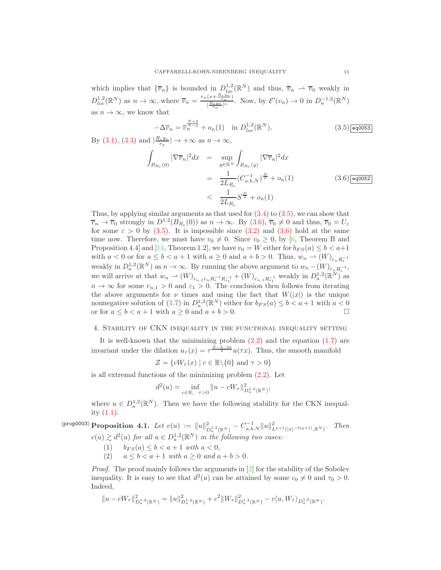which implies that  ${\lbrace \overline{v}_n \rbrace}$  is bounded in  $D_{loc}^{1,2}(\mathbb{R}^N)$  and thus,  $\overline{v}_n \rightharpoonup \overline{v}_0$  weakly in  $D_{loc}^{1,2}(\mathbb{R}^N)$  as  $n \to \infty$ , where  $\overline{v}_n = \frac{v_n(x + \frac{R_{\varepsilon}y_n}{r_n})}{|R_{\varepsilon}y_n|^{\alpha}}$  $\frac{(x+\frac{c+2m}{r_n})}{\sqrt{\frac{R\varepsilon y_n}{r_n}}}|$ . Now, by  $\mathcal{E}'(v_n) \to 0$  in  $D_a^{-1,2}(\mathbb{R}^N)$ as  $n \to \infty$ , we know that

<span id="page-10-0"></span>
$$
-\Delta \overline{v}_n = \overline{v}_n^{\frac{N+2}{N-2}} + o_n(1) \quad \text{in } D_{loc}^{1,2}(\mathbb{R}^N). \tag{3.5}
$$

By [\(3.1\)](#page-8-0), [\(3.3\)](#page-9-0) and  $\left|\frac{R_{\varepsilon}y_n}{r_n}\right| \to +\infty$  as  $n \to \infty$ ,

<span id="page-10-1"></span>
$$
\int_{B_{R_{\varepsilon}}(0)} |\nabla \overline{v}_{n}|^{2} dx = \sup_{y \in \mathbb{R}^{N}} \int_{B_{R_{\varepsilon}}(y)} |\nabla \overline{v}_{n}|^{2} dx
$$
\n
$$
= \frac{1}{2L_{R_{\varepsilon}}} (C_{a,b,N}^{-1})^{\frac{N}{2}} + o_{n}(1)
$$
\n
$$
< \frac{1}{2L_{R_{\varepsilon}}} S^{\frac{N}{2}} + o_{n}(1)
$$
\n(3.6) eq0052

Thus, by applying similar arguments as that used for [\(3.4\)](#page-9-1) to [\(3.5\)](#page-10-0), we can show that  $\overline{v}_n \to \overline{v}_0$  strongly in  $D^{1,2}(B_{R_\varepsilon}(0))$  as  $n \to \infty$ . By  $(3.6)$ ,  $\overline{v}_0 \neq 0$  and thus,  $\overline{v}_0 = U_\varepsilon$ for some  $\varepsilon > 0$  by [\(3.5\)](#page-10-0). It is impossible since [\(3.2\)](#page-8-1) and [\(3.6\)](#page-10-1) hold at the same time now. Therefore, we must have  $v_0 \neq 0$ . Since  $v_0 \geq 0$ , by [\[6,](#page-27-4) Theorem B and Proposition 4.4] and [\[14,](#page-28-6) Theorem 1.2], we have  $v_0 = W$  either for  $b_{FS}(a) \leq b < a+1$ with  $a < 0$  or for  $a \leq b < a + 1$  with  $a \geq 0$  and  $a + b > 0$ . Thus,  $w_n \rightharpoonup (W)_{r_n R_{\varepsilon}^{-1}}$ weakly in  $D_a^{1,2}(\mathbb{R}^N)$  as  $n \to \infty$ . By running the above argument to  $w_n - (W)_{r_n R_{\varepsilon}^{-1}},$ we will arrive at that  $w_n \rightharpoonup (W)_{r_{n,1}r_n R_{\varepsilon}^{-1} R_{\varepsilon_1}^{-1}} + (W)_{r_{n,1}R_{\varepsilon_1}^{-1}}$  weakly in  $D_a^{1,2}(\mathbb{R}^N)$  as  $n \to \infty$  for some  $r_{n,1} > 0$  and  $\varepsilon_1 > 0$ . The conclusion then follows from iterating the above arguments for  $\nu$  times and using the fact that  $W(|x|)$  is the unique nonnegative solution of [\(1.7\)](#page-4-0) in  $D_a^{1,2}(\mathbb{R}^N)$  either for  $b_{FS}(a) \leq b < a+1$  with  $a < 0$ or for  $a \leq b < a + 1$  with  $a \geq 0$  and  $a + b > 0$ .

## 4. Stability of CKN inequality in the functional inequality setting

It is well-known that the minimizing problem  $(2.2)$  and the equation  $(1.7)$  are invariant under the dilation  $u_{\tau}(x) = \tau^{\frac{N-2-2a}{2}} u(\tau x)$ . Thus, the smooth manifold

$$
\mathcal{Z} = \{cW_{\tau}(x) \mid c \in \mathbb{R} \backslash \{0\} \text{ and } \tau > 0\}
$$

is all extremal functions of the minimizing problem  $(2.2)$ . Let

$$
d^{2}(u) = \inf_{c \in \mathbb{R}, \ \tau > 0} ||u - cW_{\tau}||^{2}_{D_{a}^{1,2}(\mathbb{R}^{N})},
$$

where  $u \in D_a^{1,2}(\mathbb{R}^N)$ . Then we have the following stability for the CKN inequality [\(1.1\)](#page-0-0).

 $\langle \text{prop0003}\rangle$  Proposition 4.1. Let  $e(u) := \|u\|_I^2$  $\frac{2}{D_a^{1,2}(\mathbb{R}^N)} - C_{a,b,N}^{-1} \|u\|_{L^{p+1}(|x|^{-b(p+1)},\mathbb{R}^N)}^2$ . Then  $e(u) \gtrsim d^2(u)$  for all  $u \in D_a^{1,2}(\mathbb{R}^N)$  in the following two cases:

- <span id="page-10-2"></span>(1)  $b_{FS}(a) \le b < a + 1$  with  $a < 0$ ,
- (2)  $a \le b < a + 1$  with  $a \ge 0$  and  $a + b > 0$ .

Proof. The proof mainly follows the arguments in [\[2\]](#page-27-6) for the stability of the Sobolev inequality. It is easy to see that  $d^2(u)$  can be attained by some  $c_0 \neq 0$  and  $\tau_0 > 0$ . Indeed,

$$
||u-cW_{\tau}||_{D^{1,2}_a(\mathbb{R}^N)}^2=||u||_{D^{1,2}_a(\mathbb{R}^N)}^2+c^2||W_{\tau}||_{D^{1,2}_a(\mathbb{R}^N)}^2-c\langle u,W_{\tau}\rangle_{D^{1,2}_a(\mathbb{R}^N)}.
$$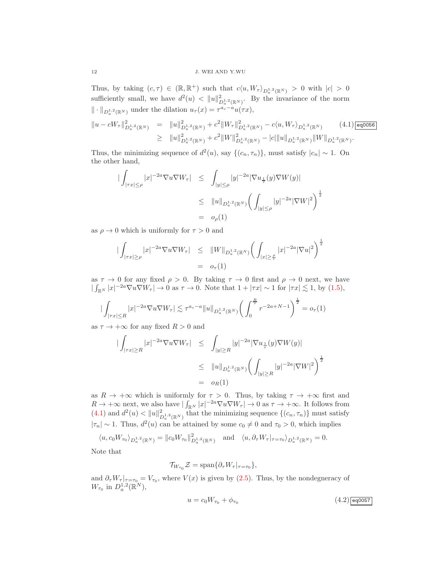Thus, by taking  $(c, \tau) \in (\mathbb{R}, \mathbb{R}^+)$  such that  $c\langle u, W_{\tau} \rangle_{D_a^{1,2}(\mathbb{R}^N)} > 0$  with  $|c| > 0$ sufficiently small, we have  $d^2(u) < ||u||_L^2$  $\sum_{n=0}^{\infty} D_n^{1,2}(\mathbb{R}^N)$ . By the invariance of the norm  $\|\cdot\|_{D^{1,2}_a(\mathbb{R}^N)}$  under the dilation  $u_\tau(x) = \tau^{a_c-a}u(\tau x)$ ,

<span id="page-11-0"></span>
$$
\|u - cW_{\tau}\|_{D_a^{1,2}(\mathbb{R}^N)}^2 = \|u\|_{D_a^{1,2}(\mathbb{R}^N)}^2 + c^2 \|W_{\tau}\|_{D_a^{1,2}(\mathbb{R}^N)}^2 - c\langle u, W_{\tau}\rangle_{D_a^{1,2}(\mathbb{R}^N)} \qquad (4.1) \boxed{\text{eqoob6}}
$$
  
\n
$$
\geq \|u\|_{D_a^{1,2}(\mathbb{R}^N)}^2 + c^2 \|W\|_{D_a^{1,2}(\mathbb{R}^N)}^2 - |c| \|u\|_{D_a^{1,2}(\mathbb{R}^N)} \|W\|_{D_a^{1,2}(\mathbb{R}^N)}.
$$

Thus, the minimizing sequence of  $d^2(u)$ , say  $\{(c_n, \tau_n)\}\)$ , must satisfy  $|c_n| \sim 1$ . On the other hand,

$$
\begin{array}{rcl} \left| \int_{|\tau x| \le \rho} |x|^{-2a} \nabla u \nabla W_{\tau} \right| & \le \quad \int_{|y| \le \rho} |y|^{-2a} |\nabla u_{\frac{1}{\tau}}(y) \nabla W(y)| \\ & \le \quad \|u\|_{D_a^{1,2}(\mathbb{R}^N)} \bigg( \int_{|y| \le \rho} |y|^{-2a} |\nabla W|^2 \bigg)^{\frac{1}{2}} \\ & = \quad o_\rho(1) \end{array}
$$

as  $\rho \to 0$  which is uniformly for  $\tau > 0$  and

$$
\begin{array}{rcl} \left| \int_{|\tau x| \ge \rho} |x|^{-2a} \nabla u \nabla W_{\tau} \right| & \le \quad \|W\|_{D^{1,2}_a(\mathbb{R}^N)} \bigg( \int_{|x| \ge \frac{\rho}{\tau}} |x|^{-2a} |\nabla u|^2 \bigg)^{\frac{1}{2}} \\ & = & o_{\tau}(1) \end{array}
$$

as  $\tau \to 0$  for any fixed  $\rho > 0$ . By taking  $\tau \to 0$  first and  $\rho \to 0$  next, we have  $|\int_{\mathbb{R}^N} |x|^{-2a} \nabla u \nabla W_{\tau}| \to 0$  as  $\tau \to 0$ . Note that  $1 + |\tau x| \sim 1$  for  $|\tau x| \lesssim 1$ , by [\(1.5\)](#page-1-3),

$$
\left| \int_{|\tau x| \le R} |x|^{-2a} \nabla u \nabla W_{\tau} \right| \lesssim \tau^{a_c - a} \|u\|_{D_a^{1,2}(\mathbb{R}^N)} \left( \int_0^{\frac{R}{\tau}} r^{-2a + N - 1} \right)^{\frac{1}{2}} = o_{\tau}(1)
$$

as  $\tau \to +\infty$  for any fixed  $R > 0$  and

$$
\begin{array}{rcl} \left| \int_{|\tau x| \geq R} |x|^{-2a} \nabla u \nabla W_{\tau} \right| & \leq & \int_{|y| \geq R} |y|^{-2a} |\nabla u_{\frac{1}{\tau}}(y) \nabla W(y)| \\ & \leq & \|u\|_{D^{1,2}_a(\mathbb{R}^N)} \bigg( \int_{|y| \geq R} |y|^{-2a} |\nabla W|^2 \bigg)^{\frac{1}{2}} \\ & = & o_R(1) \end{array}
$$

as  $R \to +\infty$  which is uniformly for  $\tau > 0$ . Thus, by taking  $\tau \to +\infty$  first and  $R \to +\infty$  next, we also have  $|\int_{\mathbb{R}^N} |x|^{-2a} \nabla u \nabla W_{\tau}| \to 0$  as  $\tau \to +\infty$ . It follows from [\(4.1\)](#page-11-0) and  $d^2(u) < ||u||_L^2$  $\mathbb{Z}_{D_a^{1,2}(\mathbb{R}^N)}^2$  that the minimizing sequence  $\{(c_n, \tau_n)\}\$  must satisfy  $|\tau_n| \sim 1$ . Thus,  $d^2(u)$  can be attained by some  $c_0 \neq 0$  and  $\tau_0 > 0$ , which implies

 $\langle u, c_0 W_{\tau_0} \rangle_{D_a^{1,2}(\mathbb{R}^N)} = ||c_0 W_{\tau_0}||_L^2$  $\mathcal{L}_{D_a^{1,2}(\mathbb{R}^N)}$  and  $\langle u, \partial_\tau W_\tau |_{\tau=\tau_0} \rangle_{D_a^{1,2}(\mathbb{R}^N)} = 0.$ 

Note that

$$
\mathcal{T}_{W_{\tau_0}}\mathcal{Z}=\text{span}\{\partial_{\tau}W_{\tau}|_{\tau=\tau_0}\},\,
$$

and  $\partial_{\tau}W_{\tau}|_{\tau=\tau_0} = V_{\tau_0}$ , where  $V(x)$  is given by [\(2.5\)](#page-6-2). Thus, by the nondegneracy of  $W_{\tau_0}$  in  $D_a^{1,2}(\mathbb{R}^N)$ ,

<span id="page-11-1"></span>
$$
u = c_0 W_{\tau_0} + \phi_{\tau_0} \tag{4.2) [eq0057]}
$$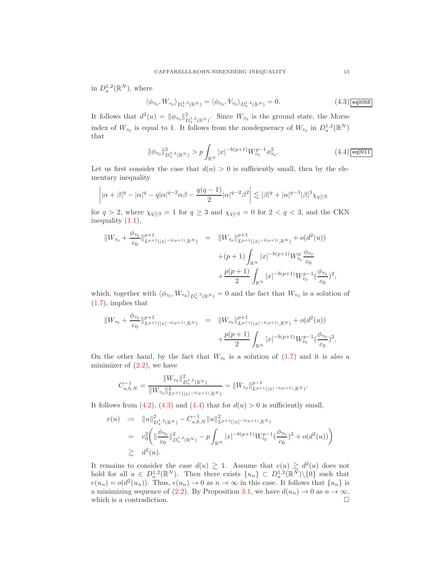in  $D_a^{1,2}(\mathbb{R}^N)$ , where

<span id="page-12-0"></span>
$$
\langle \phi_{\tau_0}, W_{\tau_0} \rangle_{D_a^{1,2}(\mathbb{R}^N)} = \langle \phi_{\tau_0}, V_{\tau_0} \rangle_{D_a^{1,2}(\mathbb{R}^N)} = 0.
$$
\n(4.3)  $\boxed{\text{eq0058}}$ 

It follows that  $d^2(u) = ||\phi_{\tau_0}||_L^2$  $\mathcal{L}_{D_a^{1,2}(\mathbb{R}^N)}^2$ . Since  $W_{\tau_0}$  is the ground state, the Morse index of  $W_{\tau_0}$  is equal to 1. It follows from the nondegneracy of  $W_{\tau_0}$  in  $D_a^{1,2}(\mathbb{R}^N)$ that

<span id="page-12-1"></span>
$$
\|\phi_{\tau_0}\|_{D_a^{1,2}(\mathbb{R}^N)}^2 > p \int_{\mathbb{R}^N} |x|^{-b(p+1)} W_{\tau_0}^{p-1} \phi_{\tau_0}^2.
$$
 (4.4)

Let us first consider the case that  $d(u) > 0$  is sufficiently small, then by the elementary inequality

$$
\left| |\alpha+\beta|^q - |\alpha|^q - q|\alpha|^{q-2}\alpha\beta - \frac{q(q-1)}{2}|\alpha|^{q-2}\beta^2 \right| \lesssim |\beta|^q + |\alpha|^{q-3}|\beta|^3\chi_{q\geq 3}
$$

for  $q > 2$ , where  $\chi_{q \geq 3} = 1$  for  $q \geq 3$  and  $\chi_{q \geq 3} = 0$  for  $2 < q < 3$ , and the CKN inequality  $(1.1)$ ,

$$
\|W_{\tau_0} + \frac{\phi_{\tau_0}}{c_0}\|_{L^{p+1}(|x|^{-b(p+1)}, \mathbb{R}^N)}^{p+1} = \|W_{\tau_0}\|_{L^{p+1}(|x|^{-b(p+1)}, \mathbb{R}^N)}^{p+1} + o(d^2(u))
$$
  
 
$$
+ (p+1) \int_{\mathbb{R}^N} |x|^{-b(p+1)} W_{\tau_0}^p \frac{\phi_{\tau_0}}{c_0}
$$
  
 
$$
+ \frac{p(p+1)}{2} \int_{\mathbb{R}^N} |x|^{-b(p+1)} W_{\tau_0}^{p-1} (\frac{\phi_{\tau_0}}{c_0})^2,
$$

which, together with  $\langle \phi_{\tau_0}, W_{\tau_0} \rangle_{D_a^{1,2}(\mathbb{R}^N)} = 0$  and the fact that  $W_{\tau_0}$  is a solution of [\(1.7\)](#page-4-0), implies that

$$
||W_{\tau_0} + \frac{\phi_{\tau_0}}{c_0}||_{L^{p+1}(|x|^{-b(p+1)}, \mathbb{R}^N)}^{p+1} = ||W_{\tau_0}||_{L^{p+1}(|x|^{-b(p+1)}, \mathbb{R}^N)}^{p+1} + o(d^2(u)) + \frac{p(p+1)}{2} \int_{\mathbb{R}^N} |x|^{-b(p+1)} W_{\tau_0}^{p-1} (\frac{\phi_{\tau_0}}{c_0})^2.
$$

On the other hand, by the fact that  $W_{\tau_0}$  is a solution of  $(1.7)$  and it is also a minimizer of  $(2.2)$ , we have

$$
C_{a,b,N}^{-1} = \frac{\|W_{\tau_0}\|_{D_a^{1,2}(\mathbb{R}^N)}^2}{\|W_{\tau_0}\|_{L^{p+1}(|x|^{-b(p+1)},\mathbb{R}^N)}^2} = \|W_{\tau_0}\|_{L^{p+1}(|x|^{-b(p+1)},\mathbb{R}^N)}^{p-1}.
$$

It follows from [\(4.2\)](#page-11-1), [\(4.3\)](#page-12-0) and [\(4.4\)](#page-12-1) that for  $d(u) > 0$  is sufficiently small,

$$
e(u) := \|u\|_{D_a^{1,2}(\mathbb{R}^N)}^2 - C_{a,b,N}^{-1} \|u\|_{L^{p+1}(|x|^{-b(p+1)},\mathbb{R}^N)}^2
$$
  
\n
$$
= c_0^2 \left( \|\frac{\phi_{\tau_0}}{c_0}\|_{D_a^{1,2}(\mathbb{R}^N)}^2 - p \int_{\mathbb{R}^N} |x|^{-b(p+1)} W_{\tau_0}^{p-1} (\frac{\phi_{\tau_0}}{c_0})^2 + o(d^2(u)) \right)
$$
  
\n
$$
\geq d^2(u).
$$

It remains to consider the case  $d(u) \geq 1$ . Assume that  $e(u) \geq d^2(u)$  does not hold for all  $u \in D_a^{1,2}(\mathbb{R}^N)$ . Then there exists  $\{u_n\} \subset D_a^{1,2}(\mathbb{R}^N)\setminus\{0\}$  such that  $e(u_n) = o(d^2(u_n))$ . Thus,  $e(u_n) \to 0$  as  $n \to \infty$  in this case. It follows that  $\{u_n\}$  is a minimizing sequence of [\(2.2\)](#page-5-0). By Proposition [3.1,](#page-7-0) we have  $d(u_n) \to 0$  as  $n \to \infty$ , which is a contradiction. which is a contradiction.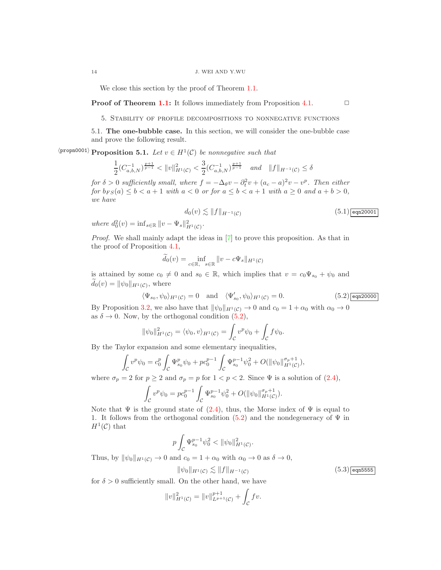We close this section by the proof of Theorem [1.1.](#page-2-0)

**Proof of Theorem [1.1:](#page-2-0)** It follows immediately from Proposition [4.1.](#page-10-2)  $\Box$ 

5. Stability of profile decompositions to nonnegative functions

<span id="page-13-3"></span>5.1. The one-bubble case. In this section, we will consider the one-bubble case and prove the following result.

 $\langle \text{propon0001} \rangle$  Proposition 5.1. Let  $v \in H^1(\mathcal{C})$  be nonnegative such that

$$
\frac{1}{2}(C_{a,b,N}^{-1})^{\frac{p+1}{p-1}} < ||v||_{H^1(\mathcal{C})}^2 < \frac{3}{2}(C_{a,b,N}^{-1})^{\frac{p+1}{p-1}} \quad \text{and} \quad ||f||_{H^{-1}(\mathcal{C})} \le \delta
$$

for  $\delta > 0$  sufficiently small, where  $f = -\Delta_{\theta} v - \partial_t^2 v + (a_c - a)^2 v - v^p$ . Then either for  $b_{FS}(a) \leq b < a+1$  with  $a < 0$  or for  $a \leq b < a+1$  with  $a \geq 0$  and  $a+b > 0$ , we have

<span id="page-13-2"></span>
$$
d_0(v) \lesssim ||f||_{H^{-1}(\mathcal{C})}
$$
\n
$$
(5.1) \boxed{\text{eqn20001}}
$$

where 
$$
d_0^2(v) = \inf_{s \in \mathbb{R}} ||v - \Psi_s||_{H^1(\mathcal{C})}^2
$$
.

Proof. We shall mainly adapt the ideas in [\[7\]](#page-27-0) to prove this proposition. As that in the proof of Proposition [4.1,](#page-10-2)

$$
\widetilde{d}_0(v) = \inf_{c \in \mathbb{R}, \ s \in \mathbb{R}} \|v - c\Psi_s\|_{H^1(\mathcal{C})}
$$

is attained by some  $c_0 \neq 0$  and  $s_0 \in \mathbb{R}$ , which implies that  $v = c_0 \Psi_{s_0} + \psi_0$  and  $d_0(v) = ||\psi_0||_{H^1(\mathcal{C})},$  where

<span id="page-13-0"></span>
$$
\langle \Psi_{s_0}, \psi_0 \rangle_{H^1(\mathcal{C})} = 0 \quad \text{and} \quad \langle \Psi'_{s_0}, \psi_0 \rangle_{H^1(\mathcal{C})} = 0. \tag{5.2}
$$

By Proposition [3.2,](#page-7-1) we also have that  $\|\psi_0\|_{H^1(\mathcal{C})} \to 0$  and  $c_0 = 1 + \alpha_0$  with  $\alpha_0 \to 0$ as  $\delta \to 0$ . Now, by the orthogonal condition  $(5.2)$ ,

$$
\|\psi_0\|_{H^1(\mathcal{C})}^2 = \langle \psi_0, v \rangle_{H^1(\mathcal{C})} = \int_{\mathcal{C}} v^p \psi_0 + \int_{\mathcal{C}} f \psi_0.
$$

By the Taylor expansion and some elementary inequalities,

$$
\int_{\mathcal{C}} v^p \psi_0 = c_0^p \int_{\mathcal{C}} \Psi_{s_0}^p \psi_0 + p c_0^{p-1} \int_{\mathcal{C}} \Psi_{s_0}^{p-1} \psi_0^2 + O(||\psi_0||_{H^1(\mathcal{C})}^{\sigma_p+1}),
$$

where  $\sigma_p = 2$  for  $p \ge 2$  and  $\sigma_p = p$  for  $1 < p < 2$ . Since  $\Psi$  is a solution of [\(2.4\)](#page-5-2),

$$
\int_{\mathcal{C}} v^p \psi_0 = p c_0^{p-1} \int_{\mathcal{C}} \Psi_{s_0}^{p-1} \psi_0^2 + O(||\psi_0||_{H^1(\mathcal{C})}^{\sigma_p+1}).
$$

Note that  $\Psi$  is the ground state of [\(2.4\)](#page-5-2), thus, the Morse index of  $\Psi$  is equal to 1. It follows from the orthogonal condition [\(5.2\)](#page-13-0) and the nondegeneracy of  $\Psi$  in  $H^1(\mathcal{C})$  that

$$
p\int_{\mathcal C} \Psi^{p-1}_{s_0} \psi_0^2 < \|\psi_0\|_{H^1(\mathcal C)}^2.
$$

Thus, by  $\|\psi_0\|_{H^1(\mathcal{C})} \to 0$  and  $c_0 = 1 + \alpha_0$  with  $\alpha_0 \to 0$  as  $\delta \to 0$ ,

<span id="page-13-1"></span>
$$
\|\psi_0\|_{H^1(\mathcal{C})} \lesssim \|f\|_{H^{-1}(\mathcal{C})}
$$

 $(5.3)$  eqn5555

for  $\delta > 0$  sufficiently small. On the other hand, we have

$$
||v||_{H^1(\mathcal{C})}^2 = ||v||_{L^{p+1}(\mathcal{C})}^{p+1} + \int_{\mathcal{C}} fv.
$$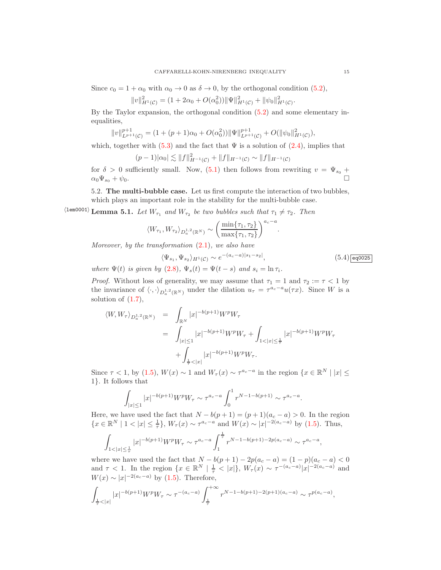Since  $c_0 = 1 + \alpha_0$  with  $\alpha_0 \to 0$  as  $\delta \to 0$ , by the orthogonal condition [\(5.2\)](#page-13-0),

$$
||v||_{H^1(\mathcal{C})}^2 = (1 + 2\alpha_0 + O(\alpha_0^2)) ||\Psi||_{H^1(\mathcal{C})}^2 + ||\psi_0||_{H^1(\mathcal{C})}^2.
$$

By the Taylor expansion, the orthogonal condition [\(5.2\)](#page-13-0) and some elementary inequalities,

$$
||v||_{L^{p+1}(\mathcal{C})}^{p+1} = (1 + (p+1)\alpha_0 + O(\alpha_0^2)) ||\Psi||_{L^{p+1}(\mathcal{C})}^{p+1} + O(||\psi_0||_{H^1(\mathcal{C})}^2),
$$

which, together with [\(5.3\)](#page-13-1) and the fact that  $\Psi$  is a solution of [\(2.4\)](#page-5-2), implies that

$$
(p-1)|\alpha_0| \lesssim ||f||^2_{H^{-1}(\mathcal{C})} + ||f||_{H^{-1}(\mathcal{C})} \sim ||f||_{H^{-1}(\mathcal{C})}
$$

for  $\delta > 0$  sufficiently small. Now,  $(5.1)$  then follows from rewriting  $v = \Psi_{s_0} +$  $\alpha_0 \Psi_{s_0} + \psi_0.$ 

<span id="page-14-1"></span>5.2. The multi-bubble case. Let us first compute the interaction of two bubbles, which plays an important role in the stability for the multi-bubble case.

 $\langle$ lem0001 $\rangle$  Lemma 5.1. Let  $W_{\tau_1}$  and  $W_{\tau_2}$  be two bubbles such that  $\tau_1 \neq \tau_2$ . Then

$$
\langle W_{\tau_1}, W_{\tau_2} \rangle_{D_a^{1,2}(\mathbb{R}^N)} \sim \left( \frac{\min\{\tau_1, \tau_2\}}{\max\{\tau_1, \tau_2\}} \right)^{a_c - a}
$$

Moreover, by the transformation  $(2.1)$ , we also have

<span id="page-14-0"></span>
$$
\langle \Psi_{s_1}, \Psi_{s_2} \rangle_{H^1(\mathcal{C})} \sim e^{-(a_c - a)|s_1 - s_2|},\tag{5.4}
$$

.

where  $\Psi(t)$  is given by [\(2.8\)](#page-6-1),  $\Psi_s(t) = \Psi(t-s)$  and  $s_i = \ln \tau_i$ .

*Proof.* Without loss of generality, we may assume that  $\tau_1 = 1$  and  $\tau_2 := \tau < 1$  by the invariance of  $\langle \cdot, \cdot \rangle_{D^{1,2}_\alpha(\mathbb{R}^N)}$  under the dilation  $u_\tau = \tau^{a_c-a}u(\tau x)$ . Since W is a solution of  $(1.7)$ ,

$$
\langle W, W_{\tau} \rangle_{D_a^{1,2}(\mathbb{R}^N)} = \int_{\mathbb{R}^N} |x|^{-b(p+1)} W^p W_{\tau}
$$
  
= 
$$
\int_{|x| \le 1} |x|^{-b(p+1)} W^p W_{\tau} + \int_{1 < |x| \le \frac{1}{\tau}} |x|^{-b(p+1)} W^p W_{\tau}
$$
  
+ 
$$
\int_{\frac{1}{\tau} < |x|} |x|^{-b(p+1)} W^p W_{\tau}.
$$

Since  $\tau$  < 1, by [\(1.5\)](#page-1-3),  $W(x) \sim 1$  and  $W_{\tau}(x) \sim \tau^{a_c - a}$  in the region  $\{x \in \mathbb{R}^N \mid |x| \leq \tau \}$ 1}. It follows that

$$
\int_{|x| \le 1} |x|^{-b(p+1)} W^p W_\tau \sim \tau^{a_c - a} \int_0^1 r^{N-1-b(p+1)} \sim \tau^{a_c - a}.
$$

Here, we have used the fact that  $N - b(p+1) = (p+1)(a_c - a) > 0$ . In the region  ${x \in \mathbb{R}^N \mid 1 < |x| \leq \frac{1}{\tau}}, W_\tau(x) \sim \tau^{a_c-a}$  and  $W(x) \sim |x|^{-2(a_c-a)}$  by [\(1.5\)](#page-1-3). Thus,

$$
\int_{1<|x|\leq \frac{1}{\tau}} |x|^{-b(p+1)} W^p W_\tau \sim \tau^{a_c-a} \int_1^{\frac{1}{\tau}} r^{N-1-b(p+1)-2p(a_c-a)} \sim \tau^{a_c-a},
$$

where we have used the fact that  $N - b(p + 1) - 2p(a_c - a) = (1 - p)(a_c - a) < 0$ and  $\tau$  < 1. In the region  $\{x \in \mathbb{R}^N \mid \frac{1}{\tau} < |x|\}, W_{\tau}(x) \sim \tau^{-(a_c-a)} |x|^{-2(a_c-a)}$  and  $W(x) \sim |x|^{-2(a_c - a)}$  by [\(1.5\)](#page-1-3). Therefore,

$$
\int_{\frac{1}{\tau} < |x|} |x|^{-b(p+1)} W^p W_\tau \sim \tau^{-(a_c - a)} \int_{\frac{1}{\tau}}^{+\infty} r^{N-1-b(p+1)-2(p+1)(a_c - a)} \sim \tau^{p(a_c - a)},
$$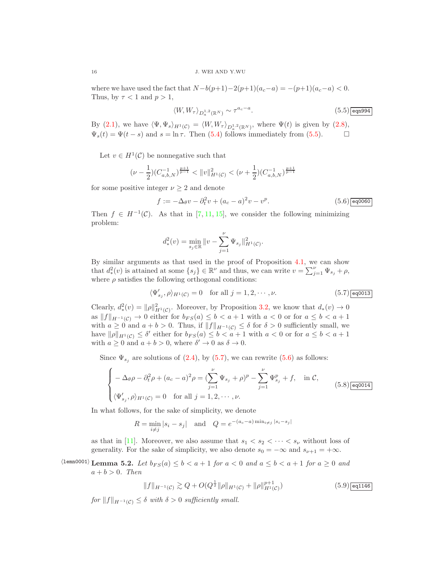where we have used the fact that  $N-b(p+1)-2(p+1)(a_c-a) = -(p+1)(a_c-a) < 0$ . Thus, by  $\tau < 1$  and  $p > 1$ ,

<span id="page-15-0"></span>
$$
\langle W, W_{\tau} \rangle_{D_a^{1,2}(\mathbb{R}^N)} \sim \tau^{a_c - a}.
$$
\n(5.5) eqn994

By [\(2.1\)](#page-5-1), we have  $\langle \Psi, \Psi_s \rangle_{H^1(\mathcal{C})} = \langle W, W_\tau \rangle_{D_a^{1,2}(\mathbb{R}^N)}$ , where  $\Psi(t)$  is given by [\(2.8\)](#page-6-1),  $\Psi_s(t) = \Psi(t-s)$  and  $s = \ln \tau$ . Then [\(5.4\)](#page-14-0) follows immediately from [\(5.5\)](#page-15-0).  $\Box$ 

Let  $v \in H^1(\mathcal{C})$  be nonnegative such that

$$
(\nu - \frac{1}{2})(C_{a,b,N}^{-1})^{\frac{p+1}{p-1}} < \|v\|_{H^1(\mathcal{C})}^2 < (\nu + \frac{1}{2})(C_{a,b,N}^{-1})^{\frac{p+1}{p-1}}
$$

for some positive integer  $\nu \geq 2$  and denote

<span id="page-15-2"></span>
$$
f := -\Delta_{\theta} v - \partial_t^2 v + (a_c - a)^2 v - v^p.
$$
 (5.6) eq060

Then  $f \in H^{-1}(\mathcal{C})$ . As that in [\[7,](#page-27-0) [11,](#page-28-0) [15\]](#page-28-1), we consider the following minimizing problem:

$$
d_*^2(v) = \min_{s_j \in \mathbb{R}} \|v - \sum_{j=1}^{\nu} \Psi_{s_j}\|_{H^1(\mathcal{C})}^2.
$$

By similar arguments as that used in the proof of Proposition [4.1,](#page-10-2) we can show that  $d^2_*(v)$  is attained at some  $\{s_j\} \in \mathbb{R}^{\nu}$  and thus, we can write  $v = \sum_{j=1}^{\nu} \Psi_{s_j} + \rho$ , where  $\rho$  satisfies the following orthogonal conditions:

<span id="page-15-1"></span>
$$
\langle \Psi'_{s_j}, \rho \rangle_{H^1(\mathcal{C})} = 0 \quad \text{for all } j = 1, 2, \cdots, \nu.
$$
 (5.7)

Clearly,  $d^2_*(v) = ||\rho||^2_{H^1(\mathcal{C})}$ . Moreover, by Proposition [3.2,](#page-7-1) we know that  $d_*(v) \to 0$ as  $||f||_{H^{-1}(\mathcal{C})} \to 0$  either for  $b_{FS}(a) \leq b < a+1$  with  $a < 0$  or for  $a \leq b < a+1$ with  $a \geq 0$  and  $a + b > 0$ . Thus, if  $||f||_{H^{-1}(\mathcal{C})} \leq \delta$  for  $\delta > 0$  sufficiently small, we have  $\|\rho\|_{H^1(\mathcal{C})} \leq \delta'$  either for  $b_{FS}(a) \leq b < a+1$  with  $a < 0$  or for  $a \leq b < a+1$ with  $a \ge 0$  and  $a + b > 0$ , where  $\delta' \to 0$  as  $\delta \to 0$ .

Since  $\Psi_{s_i}$  are solutions of [\(2.4\)](#page-5-2), by [\(5.7\)](#page-15-1), we can rewrite [\(5.6\)](#page-15-2) as follows:

<span id="page-15-3"></span>
$$
\begin{cases}\n-\Delta_{\theta}\rho - \partial_t^2 \rho + (a_c - a)^2 \rho = (\sum_{j=1}^{\nu} \Psi_{s_j} + \rho)^p - \sum_{j=1}^{\nu} \Psi_{s_j}^p + f, & \text{in } C, \\
(\Psi'_{s_j}, \rho)_{H^1(C)} = 0 & \text{for all } j = 1, 2, \cdots, \nu.\n\end{cases}
$$
\n(5.8)

In what follows, for the sake of simplicity, we denote

$$
R = \min_{i \neq j} |s_i - s_j| \text{ and } Q = e^{-(a_c - a)\min_{i \neq j} |s_i - s_j|}
$$

<span id="page-15-5"></span>as that in [\[11\]](#page-28-0). Moreover, we also assume that  $s_1 < s_2 < \cdots < s_{\nu}$  without loss of generality. For the sake of simplicity, we also denote  $s_0 = -\infty$  and  $s_{\nu+1} = +\infty$ .

# $\langle$ 1emn0001) Lemma 5.2. Let  $b_{FS}(a) \leq b < a+1$  for  $a < 0$  and  $a \leq b < a+1$  for  $a \geq 0$  and  $a + b > 0$ . Then

<span id="page-15-4"></span>
$$
||f||_{H^{-1}(\mathcal{C})} \gtrsim Q + O(Q^{\frac{1}{2}} ||\rho||_{H^1(\mathcal{C})} + ||\rho||_{H^1(\mathcal{C})}^{p+1})
$$
\n(5.9)  $\boxed{\text{eq1146}}$ 

for  $||f||_{H^{-1}(\mathcal{C})} \leq \delta$  with  $\delta > 0$  sufficiently small.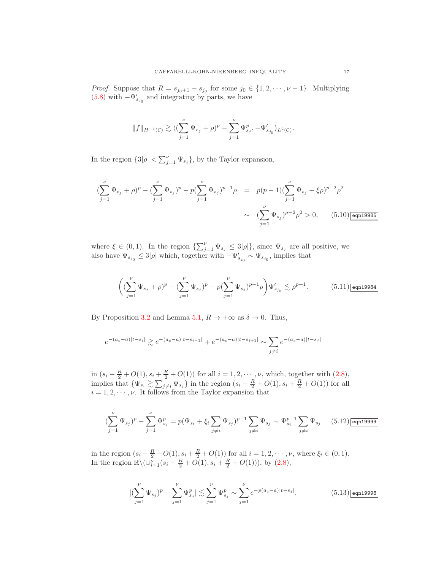*Proof.* Suppose that  $R = s_{j_0+1} - s_{j_0}$  for some  $j_0 \in \{1, 2, \dots, \nu - 1\}$ . Multiplying [\(5.8\)](#page-15-3) with  $-\Psi_{s_{j_0}}'$  and integrating by parts, we have

$$
\|f\|_{H^{-1}(\mathcal{C})}\gtrsim \langle (\sum_{j=1}^{\nu}\Psi_{s_j}+\rho)^p-\sum_{j=1}^{\nu}\Psi_{s_j}^p,-\Psi_{s_{j_0}}'\rangle_{L^2(\mathcal{C})}.
$$

In the region  $\{3|\rho| < \sum_{j=1}^{\nu} \Psi_{s_j}\}$ , by the Taylor expansion,

<span id="page-16-2"></span>
$$
\left(\sum_{j=1}^{\nu} \Psi_{s_j} + \rho\right)^p - \left(\sum_{j=1}^{\nu} \Psi_{s_j}\right)^p - p\left(\sum_{j=1}^{\nu} \Psi_{s_j}\right)^{p-1} \rho = p(p-1)\left(\sum_{j=1}^{\nu} \Psi_{s_j} + \xi \rho\right)^{p-2} \rho^2
$$
  

$$
\sim \left(\sum_{j=1}^{\nu} \Psi_{s_j}\right)^{p-2} \rho^2 > 0, \qquad (5.10) \boxed{\text{eqn19985}}
$$

where  $\xi \in (0,1)$ . In the region  $\{\sum_{j=1}^{\nu} \Psi_{s_j} \leq 3|\rho|\}$ , since  $\Psi_{s_j}$  are all positive, we also have  $\Psi_{s_{j_0}} \leq 3|\rho|$  which, together with  $-\Psi'_{s_{j_0}} \sim \Psi_{s_{j_0}}$ , implies that

<span id="page-16-3"></span>
$$
\bigg( (\sum_{j=1}^\nu \Psi_{s_j} + \rho)^p - (\sum_{j=1}^\nu \Psi_{s_j} )^p - p (\sum_{j=1}^\nu \Psi_{s_j} )^{p-1} \rho \bigg) \Psi_{s_{j_0}}' \lesssim \rho^{p+1} . \tag{5.11)} \overline{\text{eqn19984}}
$$

By Proposition [3.2](#page-7-1) and Lemma [5.1,](#page-14-1)  $R \to +\infty$  as  $\delta \to 0$ . Thus,

$$
e^{-(a_c-a)|t-s_i|} \gtrsim e^{-(a_c-a)|t-s_{i-1}|} + e^{-(a_c-a)|t-s_{i+1}|} \sim \sum_{j \neq i} e^{-(a_c-a)|t-s_j|}
$$

in  $(s_i - \frac{R}{2} + O(1), s_i + \frac{R}{2} + O(1))$  for all  $i = 1, 2, \dots, \nu$ , which, together with  $(2.8)$ , implies that  $\{\Psi_{s_i} \geq \sum_{j \neq i} \Psi_{s_j}\}\$  in the region  $(s_i - \frac{R}{2} + O(1), s_i + \frac{R}{2} + O(1))$  for all  $i = 1, 2, \dots, \nu$ . It follows from the Taylor expansion that

<span id="page-16-1"></span>
$$
(\sum_{j=1}^{\nu} \Psi_{s_j})^p - \sum_{j=1}^{\nu} \Psi_{s_j}^p = p(\Psi_{s_i} + \xi_i \sum_{j \neq i} \Psi_{s_j})^{p-1} \sum_{j \neq i} \Psi_{s_j} \sim \Psi_{s_i}^{p-1} \sum_{j \neq i} \Psi_{s_j} \qquad (5.12) \boxed{\text{eqn19999}}
$$

in the region  $(s_i - \frac{R}{2} + O(1), s_i + \frac{R}{2} + O(1))$  for all  $i = 1, 2, \dots, \nu$ , where  $\xi_i \in (0, 1)$ . In the region  $\mathbb{R}\setminus (\cup_{i=1}^{\nu}(s_i - \frac{R}{2} + O(1), s_i + \frac{R}{2} + O(1))),$  by [\(2.8\)](#page-6-1),

<span id="page-16-0"></span>
$$
\left| \left( \sum_{j=1}^{\nu} \Psi_{s_j} \right)^p - \sum_{j=1}^{\nu} \Psi_{s_j}^p \right| \lesssim \sum_{j=1}^{\nu} \Psi_{s_j}^p \sim \sum_{j=1}^{\nu} e^{-p(a_c - a)|t - s_j|}.\tag{5.13}
$$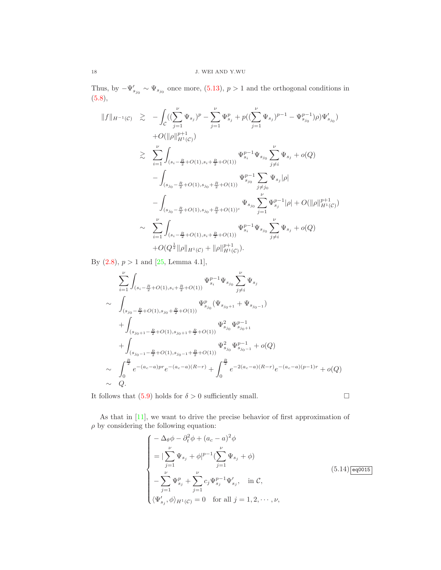Thus, by  $-\Psi'_{s_{j_0}} \sim \Psi_{s_{j_0}}$  once more, [\(5.13\)](#page-16-0),  $p > 1$  and the orthogonal conditions in [\(5.8\)](#page-15-3),

$$
||f||_{H^{-1}(C)} \geq -\int_{C} \left( (\sum_{j=1}^{\nu} \Psi_{s_j})^p - \sum_{j=1}^{\nu} \Psi_{s_j}^p + p\left( (\sum_{j=1}^{\nu} \Psi_{s_j})^{p-1} - \Psi_{s_{j_0}}^{p-1} \right) \rho \right) \Psi'_{s_{j_0}} \rangle
$$
  
+ $O(||\rho||_{H^1(C)}^{p+1})$   
 $\geq \sum_{i=1}^{\nu} \int_{(s_i - \frac{R}{2} + O(1), s_i + \frac{R}{2} + O(1))} \Psi_{s_i}^{p-1} \Psi_{s_{j_0}} \sum_{j \neq i}^{\nu} \Psi_{s_j} + o(Q)$   
 $- \int_{(s_{j_0} - \frac{R}{2} + O(1), s_{j_0} + \frac{R}{2} + O(1))} \Psi_{s_{j_0}}^{p-1} \sum_{j \neq j_0} \Psi_{s_j} |\rho|$   
 $- \int_{(s_{j_0} - \frac{R}{2} + O(1), s_{j_0} + \frac{R}{2} + O(1))^{c}} \Psi_{s_{j_0}} \sum_{j=1}^{\nu} \Psi_{s_j}^{p-1} |\rho| + O(||\rho||_{H^1(C)}^{p+1})$   
 $\sim \sum_{i=1}^{\nu} \int_{(s_i - \frac{R}{2} + O(1), s_i + \frac{R}{2} + O(1))} \Psi_{s_i}^{p-1} \Psi_{s_{j_0}} \sum_{j \neq i}^{\nu} \Psi_{s_j} + o(Q)$   
+ $O(Q^{\frac{1}{2}} ||\rho||_{H^1(C)} + ||\rho||_{H^1(C)}^{p+1}).$ 

By  $(2.8)$ ,  $p > 1$  and  $[25, \text{Lemma } 4.1]$ ,

$$
\sum_{i=1}^{\nu} \int_{(s_i - \frac{R}{2} + O(1), s_i + \frac{R}{2} + O(1))} \Psi_{s_i}^{p-1} \Psi_{s_{j_0}} \sum_{j \neq i}^{\nu} \Psi_{s_j}
$$
\n
$$
\sim \int_{(s_{j_0} - \frac{R}{2} + O(1), s_{j_0} + \frac{R}{2} + O(1))} \Psi_{s_{j_0}}^p (\Psi_{s_{j_0+1}} + \Psi_{s_{j_0-1}})
$$
\n
$$
+ \int_{(s_{j_0+1} - \frac{R}{2} + O(1), s_{j_0+1} + \frac{R}{2} + O(1))} \Psi_{s_{j_0}}^2 \Psi_{s_{j_0+1}}^{p-1}
$$
\n
$$
+ \int_{(s_{j_0-1} - \frac{R}{2} + O(1), s_{j_0-1} + \frac{R}{2} + O(1))} \Psi_{s_{j_0}}^2 \Psi_{s_{j_0-1}}^{p-1} + o(Q)
$$
\n
$$
\sim \int_0^{\frac{R}{2}} e^{-(a_c - a)pr} e^{-(a_c - a)(R - r)} + \int_0^{\frac{R}{2}} e^{-2(a_c - a)(R - r)} e^{-(a_c - a)(p - 1)r} + o(Q)
$$
\n
$$
\sim Q.
$$

It follows that [\(5.9\)](#page-15-4) holds for  $\delta > 0$  sufficiently small.

As that in [\[11\]](#page-28-0), we want to drive the precise behavior of first approximation of  $\rho$  by considering the following equation:

<span id="page-17-0"></span>
$$
\begin{cases}\n-\Delta_{\theta}\phi - \partial_{t}^{2}\phi + (a_{c} - a)^{2}\phi \\
= |\sum_{j=1}^{\nu}\Psi_{s_{j}} + \phi|^{p-1}(\sum_{j=1}^{\nu}\Psi_{s_{j}} + \phi) \\
- \sum_{j=1}^{\nu}\Psi_{s_{j}}^{p} + \sum_{j=1}^{\nu}c_{j}\Psi_{s_{j}}^{p-1}\Psi'_{s_{j}}, & \text{in } C, \\
\langle \Psi'_{s_{j}}, \phi \rangle_{H^{1}(C)} = 0 & \text{for all } j = 1, 2, \cdots, \nu,\n\end{cases}
$$
\n(5.14) [eq0015]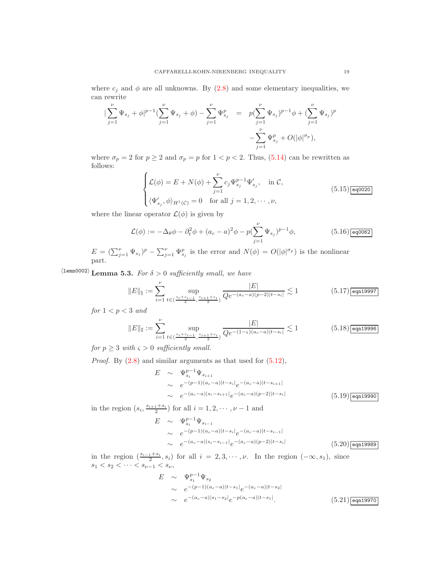where  $c_j$  and  $\phi$  are all unknowns. By [\(2.8\)](#page-6-1) and some elementary inequalities, we can rewrite

$$
\begin{array}{lcl}|\sum\limits_{j=1}^{\nu} \Psi_{s_j} + \phi|^{p-1} (\sum\limits_{j=1}^{\nu} \Psi_{s_j} + \phi) - \sum\limits_{j=1}^{\nu} \Psi_{s_j}^p & = & p (\sum\limits_{j=1}^{\nu} \Psi_{s_j})^{p-1} \phi + (\sum\limits_{j=1}^{\nu} \Psi_{s_j})^p \\ & & \quad - \sum\limits_{j=1}^{\nu} \Psi_{s_j}^p + O(|\phi|^{\sigma_p}), \end{array}
$$

where  $\sigma_p = 2$  for  $p \ge 2$  and  $\sigma_p = p$  for  $1 < p < 2$ . Thus, [\(5.14\)](#page-17-0) can be rewritten as follows:

<span id="page-18-7"></span>
$$
\begin{cases}\n\mathcal{L}(\phi) = E + N(\phi) + \sum_{j=1}^{\nu} c_j \Psi_{s_j}^{p-1} \Psi'_{s_j}, & \text{in } \mathcal{C}, \\
\langle \Psi'_{s_j}, \phi \rangle_{H^1(\mathcal{C})} = 0 & \text{for all } j = 1, 2, \cdots, \nu,\n\end{cases}
$$
\n(5.15)  $\boxed{\text{eq0020}}$ 

where the linear operator  $\mathcal{L}(\phi)$  is given by

<span id="page-18-5"></span>
$$
\mathcal{L}(\phi) := -\Delta_{\theta}\phi - \partial_t^2\phi + (a_c - a)^2\phi - p(\sum_{j=1}^{\nu} \Psi_{s_j})^{p-1}\phi,
$$
\n(5.16)  $\boxed{\text{eq0062}}$ 

<span id="page-18-6"></span> $E = (\sum_{j=1}^{\nu} \Psi_{s_j})^p - \sum_{j=1}^{\nu} \Psi_{s_j}^p$  is the error and  $N(\phi) = O(|\phi|^{\sigma_p})$  is the nonlinear part.

 $\langle$ 1emn0002) Lemma 5.3. For  $\delta > 0$  sufficiently small, we have

<span id="page-18-0"></span>
$$
||E||_{\natural} := \sum_{i=1}^{\nu} \sup_{t \in (\frac{s_i + s_{i-1}}{2}, \frac{s_{i+1} + s_i}{2})} \frac{|E|}{Qe^{-(a_c - a)(p-2)|t - s_i|}} \lesssim 1
$$
 (5.17)

for  $1 < p < 3$  and

<span id="page-18-1"></span>
$$
||E||_{\sharp} := \sum_{i=1}^{\nu} \sup_{t \in (\frac{s_i + s_{i-1}}{2}, \frac{s_{i+1} + s_i}{2})} \frac{|E|}{Qe^{-(1-\varsigma)(a_c - a)|t - s_i|}} \lesssim 1
$$
 (5.18) eqn19996

for  $p \geq 3$  with  $\varsigma > 0$  sufficiently small.

*Proof.* By  $(2.8)$  and similar arguments as that used for  $(5.12)$ ,

<span id="page-18-2"></span>
$$
E \sim \Psi_{s_i}^{p-1} \Psi_{s_{i+1}}
$$
  
\n
$$
\sim e^{-(p-1)(a_c-a)|t-s_i|} e^{-(a_c-a)|t-s_{i+1}|}
$$
  
\n
$$
\sim e^{-(a_c-a)|s_i-s_{i+1}|} e^{-(a_c-a)(p-2)|t-s_i|}
$$
 (5.19) eqn19990

in the region  $(s_i, \frac{s_{i+1}+s_i}{2})$  for all  $i=1, 2, \cdots, \nu-1$  and

<span id="page-18-3"></span>
$$
E \sim \Psi_{s_i}^{p-1} \Psi_{s_{i-1}}
$$
  
\n
$$
\sim e^{-(p-1)(a_c-a)|t-s_i|} e^{-(a_c-a)|t-s_{i-1}|}
$$
  
\n
$$
\sim e^{-(a_c-a)|s_i-s_{i-1}|} e^{-(a_c-a)(p-2)|t-s_i|}
$$
 (5.20)eqn19989

in the region  $(\frac{s_{i-1}+s_i}{2}, s_i)$  for all  $i = 2, 3, \cdots, \nu$ . In the region  $(-\infty, s_1)$ , since  $s_1 < s_2 < \cdots < s_{\nu-1} < s_{\nu}$ ,

<span id="page-18-4"></span>
$$
E \sim \Psi_{s_1}^{p-1} \Psi_{s_2}
$$
  
\n
$$
\sim e^{-(p-1)(a_c-a)|t-s_1|} e^{-(a_c-a)|t-s_2|}
$$
  
\n
$$
\sim e^{-(a_c-a)|s_1-s_2|} e^{-p(a_c-a)|t-s_1|}.
$$
 (5.21) eqn19970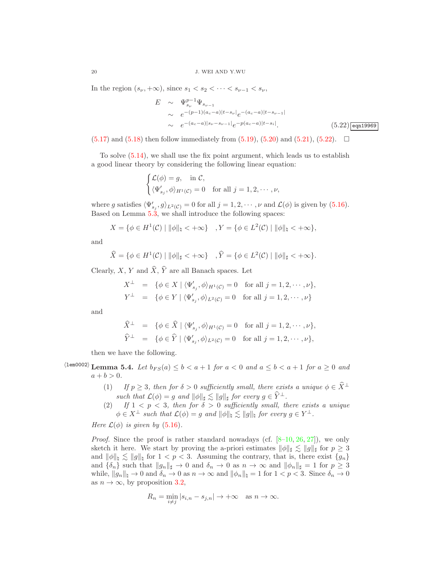In the region  $(s_{\nu}, +\infty)$ , since  $s_1 < s_2 < \cdots < s_{\nu-1} < s_{\nu}$ ,

<span id="page-19-0"></span>
$$
E \sim \Psi_{s_{\nu}}^{p-1} \Psi_{s_{\nu-1}}
$$
  
\n
$$
\sim e^{-(p-1)(a_c-a)|t-s_{\nu}|} e^{-(a_c-a)|t-s_{\nu-1}|}
$$
  
\n
$$
\sim e^{-(a_c-a)|s_{\nu}-s_{\nu-1}|} e^{-p(a_c-a)|t-s_i|}.
$$
\n(5.22) eqn19969

 $(5.17)$  and  $(5.18)$  then follow immediately from  $(5.19)$ ,  $(5.20)$  and  $(5.21)$ ,  $(5.22)$ .  $\Box$ 

To solve [\(5.14\)](#page-17-0), we shall use the fix point argument, which leads us to establish a good linear theory by considering the following linear equation:

$$
\begin{cases} \mathcal{L}(\phi) = g, & \text{in } \mathcal{C}, \\ \langle \Psi'_{s_j}, \phi \rangle_{H^1(\mathcal{C})} = 0 & \text{for all } j = 1, 2, \cdots, \nu, \end{cases}
$$

where g satisfies  $\langle \Psi'_{s_j}, g \rangle_{L^2(\mathcal{C})} = 0$  for all  $j = 1, 2, \cdots, \nu$  and  $\mathcal{L}(\phi)$  is given by [\(5.16\)](#page-18-5). Based on Lemma [5.3,](#page-18-6) we shall introduce the following spaces:

$$
X = \{ \phi \in H^1(\mathcal{C}) \mid ||\phi||_{\natural} < +\infty \} \quad , Y = \{ \phi \in L^2(\mathcal{C}) \mid ||\phi||_{\natural} < +\infty \},
$$

and

$$
\widehat{X} = \{ \phi \in H^1(\mathcal{C}) \mid ||\phi||_{\sharp} < +\infty \} \quad , \widehat{Y} = \{ \phi \in L^2(\mathcal{C}) \mid ||\phi||_{\sharp} < +\infty \}.
$$

Clearly, X, Y and  $\widehat{X}$ ,  $\widehat{Y}$  are all Banach spaces. Let

$$
X^{\perp} = \{ \phi \in X \mid \langle \Psi'_{s_j}, \phi \rangle_{H^1(\mathcal{C})} = 0 \text{ for all } j = 1, 2, \cdots, \nu \},
$$
  

$$
Y^{\perp} = \{ \phi \in Y \mid \langle \Psi'_{s_j}, \phi \rangle_{L^2(\mathcal{C})} = 0 \text{ for all } j = 1, 2, \cdots, \nu \}
$$

and

$$
\widehat{X}^{\perp} = \{ \phi \in \widehat{X} \mid \langle \Psi'_{s_j}, \phi \rangle_{H^1(\mathcal{C})} = 0 \text{ for all } j = 1, 2, \cdots, \nu \},
$$
  

$$
\widehat{Y}^{\perp} = \{ \phi \in \widehat{Y} \mid \langle \Psi'_{s_j}, \phi \rangle_{L^2(\mathcal{C})} = 0 \text{ for all } j = 1, 2, \cdots, \nu \},
$$

<span id="page-19-1"></span>then we have the following.

 $\langle$ lem $0002\rangle$  Lemma 5.4. Let  $b_{FS}(a) \leq b < a+1$  for  $a < 0$  and  $a \leq b < a+1$  for  $a \geq 0$  and  $a + b > 0.$ 

- (1) If  $p \geq 3$ , then for  $\delta > 0$  sufficiently small, there exists a unique  $\phi \in \hat{X}^{\perp}$ such that  $\mathcal{L}(\phi) = g$  and  $\|\phi\|_{\sharp} \lesssim \|g\|_{\sharp}$  for every  $g \in \widehat{Y}^{\perp}$ .
- (2) If  $1 < p < 3$ , then for  $\delta > 0$  sufficiently small, there exists a unique  $\phi \in X^{\perp}$  such that  $\mathcal{L}(\phi) = g$  and  $\|\phi\|_{\natural} \lesssim \|g\|_{\natural}$  for every  $g \in Y^{\perp}$ .

Here  $\mathcal{L}(\phi)$  is given by [\(5.16\)](#page-18-5).

*Proof.* Since the proof is rather standard nowadays (cf.  $[8-10, 26, 27]$  $[8-10, 26, 27]$  $[8-10, 26, 27]$  $[8-10, 26, 27]$ ), we only sketch it here. We start by proving the a-priori estimates  $\|\phi\|_{\sharp} \lesssim \|g\|_{\sharp}$  for  $p \geq 3$ and  $\|\phi\|_{\mathfrak{h}} \lesssim \|g\|_{\mathfrak{h}}$  for  $1 < p < 3$ . Assuming the contrary, that is, there exist  $\{g_n\}$ and  $\{\delta_n\}$  such that  $||g_n||_\sharp \to 0$  and  $\delta_n \to 0$  as  $n \to \infty$  and  $||\phi_n||_\sharp = 1$  for  $p \geq 3$ while,  $||g_n||_1 \to 0$  and  $\delta_n \to 0$  as  $n \to \infty$  and  $||\phi_n||_1 = 1$  for  $1 < p < 3$ . Since  $\delta_n \to 0$ as  $n \to \infty$ , by proposition [3.2,](#page-7-1)

$$
R_n = \min_{i \neq j} |s_{i,n} - s_{j,n}| \to +\infty \quad \text{as } n \to \infty.
$$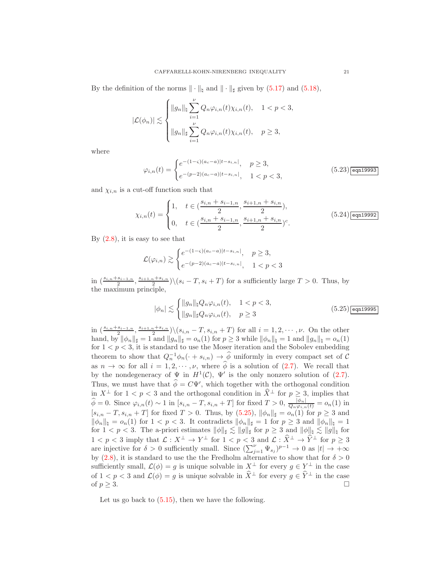By the definition of the norms  $\|\cdot\|_{\sharp}$  and  $\|\cdot\|_{\sharp}$  given by [\(5.17\)](#page-18-0) and [\(5.18\)](#page-18-1),

$$
|\mathcal{L}(\phi_n)| \lesssim \begin{cases} ||g_n||_{\natural} \sum_{i=1}^{\nu} Q_n \varphi_{i,n}(t) \chi_{i,n}(t), & 1 < p < 3, \\ ||g_n||_{\sharp} \sum_{i=1}^{\nu} Q_n \varphi_{i,n}(t) \chi_{i,n}(t), & p \ge 3, \end{cases}
$$

where

<span id="page-20-1"></span>
$$
\varphi_{i,n}(t) = \begin{cases} e^{-(1-\varsigma)(a_c-a)|t-s_{i,n}|}, & p \ge 3, \\ e^{-(p-2)(a_c-a)|t-s_{i,n}|}, & 1 < p < 3, \end{cases}
$$
(5.23) eqn19993

and  $\chi_{i,n}$  is a cut-off function such that

<span id="page-20-2"></span>
$$
\chi_{i,n}(t) = \begin{cases} 1, & t \in (\frac{s_{i,n} + s_{i-1,n}}{2}, \frac{s_{i+1,n} + s_{i,n}}{2}), \\ 0, & t \in (\frac{s_{i,n} + s_{i-1,n}}{2}, \frac{s_{i+1,n} + s_{i,n}}{2})^c. \end{cases} \tag{5.24}
$$

By  $(2.8)$ , it is easy to see that

$$
\mathcal{L}(\varphi_{i,n}) \gtrsim \begin{cases} e^{-(1-\varsigma)(a_c-a)|t-s_{i,n}|}, & p \ge 3, \\ e^{-(p-2)(a_c-a)|t-s_{i,n}|}, & 1 < p < 3 \end{cases}
$$

in  $\left(\frac{s_{i,n}+s_{i-1,n}}{2},\frac{s_{i+1,n}+s_{i,n}}{2}\right)$   $\left(\left(s_i-T,s_i+T\right)$  for a sufficiently large  $T>0$ . Thus, by the maximum principle,

<span id="page-20-0"></span>
$$
|\phi_n| \lesssim \begin{cases} ||g_n||_{\mathfrak{h}} Q_n \varphi_{i,n}(t), & 1 < p < 3, \\ ||g_n||_{\mathfrak{h}} Q_n \varphi_{i,n}(t), & p \ge 3 \end{cases}
$$
 (5.25) eqn19995

in  $\left(\frac{s_{i,n}+s_{i-1,n}}{2}, \frac{s_{i+1,n}+s_{i,n}}{2}\right)$  $\binom{n+s_{i,n}}{2} \setminus (s_{i,n}-T, s_{i,n}+T)$  for all  $i=1,2,\cdots,\nu$ . On the other hand, by  $\|\phi_n\|_{\sharp} = 1$  and  $\|g_n\|_{\sharp} = o_n(1)$  for  $p \geq 3$  while  $\|\phi_n\|_{\sharp} = 1$  and  $\|g_n\|_{\sharp} = o_n(1)$ for  $1 < p < 3$ , it is standard to use the Moser iteration and the Sobolev embedding theorem to show that  $Q_n^{-1}\phi_n(\cdot + s_{i,n}) \to \widehat{\phi}$  uniformly in every compact set of C as  $n \to \infty$  for all  $i = 1, 2, \dots, \nu$ , where  $\widehat{\phi}$  is a solution of [\(2.7\)](#page-6-3). We recall that by the nondegeneracy of  $\Psi$  in  $H^1(\mathcal{C})$ ,  $\Psi'$  is the only nonzero solution of [\(2.7\)](#page-6-3). Thus, we must have that  $\phi = C\Psi'$ , which together with the orthogonal condition in  $X^{\perp}$  for  $1 < p < 3$  and the orthogonal condition in  $\hat{X}^{\perp}$  for  $p \geq 3$ , implies that  $\widehat{\phi} = 0$ . Since  $\varphi_{i,n}(t) \sim 1$  in  $[s_{i,n} - T, s_{i,n} + T]$  for fixed  $T > 0$ ,  $\frac{|\phi_n|}{Q_n \varphi_{i,n}(t)} = o_n(1)$  in  $[s_{i,n} - T, s_{i,n} + T]$  for fixed  $T > 0$ . Thus, by  $(5.25)$ ,  $\|\phi_n\|_{\sharp} = o_n(1)$  for  $p \geq 3$  and  $\|\phi_n\|_{\natural} = o_n(1)$  for  $1 < p < 3$ . It contradicts  $\|\phi_n\|_{\sharp} = 1$  for  $p \geq 3$  and  $\|\phi_n\|_{\natural} = 1$ for  $1 < p < 3$ . The a-priori estimates  $\|\phi\|_{\sharp} \lesssim \|g\|_{\sharp}$  for  $p \geq 3$  and  $\|\phi\|_{\sharp} \lesssim \|g\|_{\sharp}$  for  $1 < p < 3$  imply that  $\mathcal{L}: X^{\perp} \to Y^{\perp}$  for  $1 < p < 3$  and  $\mathcal{L}: \hat{X}^{\perp} \to \hat{Y}^{\perp}$  for  $p \geq 3$ are injective for  $\delta > 0$  sufficiently small. Since  $(\sum_{j=1}^{\nu} \Psi_{s_j})^{p-1} \to 0$  as  $|t| \to +\infty$ by [\(2.8\)](#page-6-1), it is standard to use the the Fredholm alternative to show that for  $\delta > 0$ sufficiently small,  $\mathcal{L}(\phi) = g$  is unique solvable in  $X^{\perp}$  for every  $g \in Y^{\perp}$  in the case of  $1 < p < 3$  and  $\mathcal{L}(\phi) = g$  is unique solvable in  $\widehat{X}^{\perp}$  for every  $g \in \widehat{Y}^{\perp}$  in the case of  $p \geq 3$ . □ of  $p \geq 3$ .

Let us go back to  $(5.15)$ , then we have the following.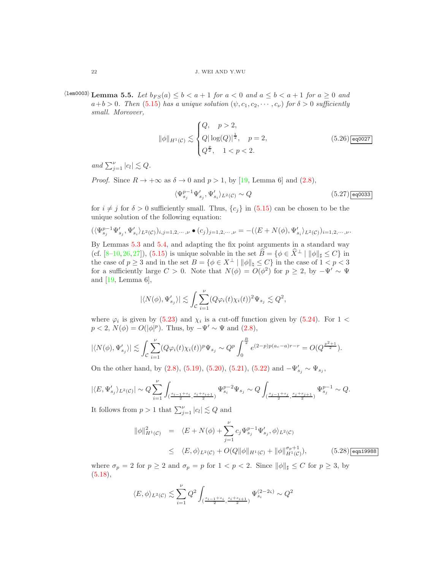$\Delta$  (lem0003) Lemma 5.5. Let  $b_{FS}(a) \leq b < a+1$  for  $a < 0$  and  $a \leq b < a+1$  for  $a \geq 0$  and  $a+b>0$ . Then [\(5.15\)](#page-18-7) has a unique solution  $(\psi, c_1, c_2, \dots, c_{\nu})$  for  $\delta > 0$  sufficiently small. Moreover,

<span id="page-21-0"></span>
$$
\|\phi\|_{H^1(\mathcal{C})} \lesssim \begin{cases} Q, & p > 2, \\ Q|\log(Q)|^{\frac{1}{2}}, & p = 2, \\ Q^{\frac{p}{2}}, & 1 < p < 2. \end{cases} \tag{5.26}
$$

and  $\sum_{j=1}^{\nu} |c_l| \lesssim Q$ .

*Proof.* Since  $R \to +\infty$  as  $\delta \to 0$  and  $p > 1$ , by [\[19,](#page-28-15) Lemma 6] and [\(2.8\)](#page-6-1),

<span id="page-21-3"></span>
$$
\langle \Psi_{s_j}^{p-1} \Psi_{s_j}', \Psi_{s_i}' \rangle_{L^2(\mathcal{C})} \sim Q \tag{5.27}
$$

for  $i \neq j$  for  $\delta > 0$  sufficiently small. Thus,  $\{c_j\}$  in [\(5.15\)](#page-18-7) can be chosen to be the unique solution of the following equation:

$$
(\langle \Psi_{s_j}^{p-1} \Psi_{s_j}', \Psi_{s_i}' \rangle_{L^2(\mathcal{C})})_{i,j=1,2,\cdots,\nu} \bullet (c_j)_{j=1,2,\cdots,\nu} = -(\langle E+N(\phi), \Psi_{s_i}' \rangle_{L^2(\mathcal{C})})_{i=1,2,\cdots,\nu}.
$$

By Lemmas [5.3](#page-18-6) and [5.4,](#page-19-1) and adapting the fix point arguments in a standard way (cf. [\[8–](#page-27-7)[10,](#page-27-8)[26,](#page-28-13)[27\]](#page-28-14)), [\(5.15\)](#page-18-7) is unique solvable in the set  $\hat{B} = {\phi \in \hat{X}^{\perp} \mid \|\phi\|_{\sharp} \leq C}$  in the case of  $p \ge 3$  and in the set  $B = \{ \phi \in X^{\perp} \mid ||\phi||_{\natural} \le C \}$  in the case of  $1 < p < 3$ for a sufficiently large  $C > 0$ . Note that  $N(\phi) = O(\phi^2)$  for  $p \ge 2$ , by  $-\Psi' \sim \Psi$ and  $[19, \text{Lemma } 6],$ 

$$
|\langle N(\phi),\Psi'_{s_j}\rangle| \lesssim \int_{\mathcal{C}} \sum_{i=1}^{\nu} (Q \varphi_i(t) \chi_i(t))^2 \Psi_{s_j} \lesssim Q^2,
$$

where  $\varphi_i$  is given by [\(5.23\)](#page-20-1) and  $\chi_i$  is a cut-off function given by [\(5.24\)](#page-20-2). For 1 <  $p < 2$ ,  $N(\phi) = O(|\phi|^p)$ . Thus, by  $-\Psi' \sim \Psi$  and  $(2.8)$ ,

$$
|\langle N(\phi), \Psi'_{s_j} \rangle| \lesssim \int_{\mathcal{C}} \sum_{i=1}^{\nu} (Q \varphi_i(t) \chi_i(t))^p \Psi_{s_j} \sim Q^p \int_0^{\frac{R}{2}} e^{(2-p)p(a_c-a)r-r} = O(Q^{\frac{p^2+1}{2}}).
$$

On the other hand, by [\(2.8\)](#page-6-1), [\(5.19\)](#page-18-2), [\(5.20\)](#page-18-3), [\(5.21\)](#page-18-4), [\(5.22\)](#page-19-0) and  $-\Psi'_{s_j} \sim \Psi_{s_j}$ ,

$$
|\langle E,\Psi'_{s_j}\rangle_{L^2(\mathcal{C})}|\sim Q\sum_{i=1}^{\nu}\int_{(\frac{s_{i-1}+s_i}{2},\frac{s_i+s_{i+1}}{2})}\Psi_{s_i}^{p-2}\Psi_{s_j}\sim Q\int_{(\frac{s_{j-1}+s_j}{2},\frac{s_j+s_{j+1}}{2})}\Psi_{s_j}^{p-1}\sim Q.
$$

It follows from  $p > 1$  that  $\sum_{j=1}^{\nu} |c_l| \lesssim Q$  and

<span id="page-21-1"></span>
$$
\|\phi\|_{H^1(\mathcal{C})}^2 = \langle E + N(\phi) + \sum_{j=1}^{\nu} c_j \Psi_{s_j}^{p-1} \Psi'_{s_j}, \phi \rangle_{L^2(\mathcal{C})}
$$
  
 
$$
\leq \langle E, \phi \rangle_{L^2(\mathcal{C})} + O(Q \|\phi\|_{H^1(\mathcal{C})} + \|\phi\|_{H^1(\mathcal{C})}^{\sigma_p+1}), \tag{5.28}
$$

where  $\sigma_p = 2$  for  $p \geq 2$  and  $\sigma_p = p$  for  $1 < p < 2$ . Since  $\|\phi\|_{\sharp} \leq C$  for  $p \geq 3$ , by  $(5.18),$  $(5.18),$ 

$$
\langle E, \phi \rangle_{L^2(\mathcal{C})} \lesssim \sum_{i=1}^{\nu} Q^2 \int_{(\frac{s_{i-1}+s_i}{2}, \frac{s_i+s_{i+1}}{2})} \Psi_{s_i}^{(2-2\varsigma)} \sim Q^2
$$

<span id="page-21-2"></span>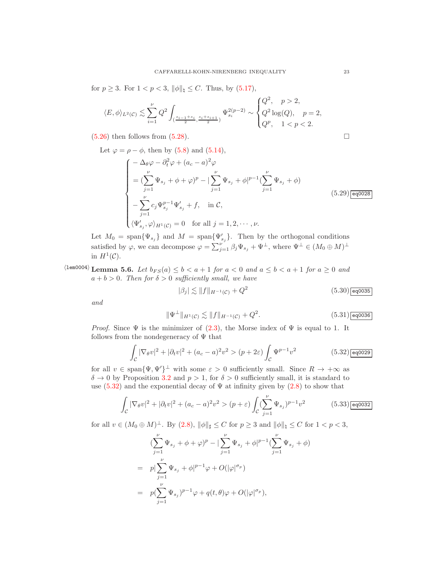for  $p \ge 3$ . For  $1 < p < 3$ ,  $\|\phi\|_{\natural} \le C$ . Thus, by [\(5.17\)](#page-18-0),

$$
\langle E, \phi \rangle_{L^2(\mathcal{C})} \lesssim \sum_{i=1}^{\nu} Q^2 \int_{(\frac{s_{i-1}+s_i}{2}, \frac{s_i+s_{i+1}}{2})} \Psi_{s_i}^{2(p-2)} \sim \begin{cases} Q^2, & p > 2, \\ Q^2 \log(Q), & p = 2, \\ Q^p, & 1 < p < 2. \end{cases}
$$

 $(5.26)$  then follows from  $(5.28)$ .

Let 
$$
\varphi = \rho - \phi
$$
, then by (5.8) and (5.14)

<span id="page-22-1"></span>
$$
\begin{cases}\n-\Delta_{\theta}\varphi - \partial_{t}^{2}\varphi + (a_{c} - a)^{2}\varphi \\
= (\sum_{j=1}^{\nu}\Psi_{s_{j}} + \phi + \varphi)^{p} - |\sum_{j=1}^{\nu}\Psi_{s_{j}} + \phi|^{p-1}(\sum_{j=1}^{\nu}\Psi_{s_{j}} + \phi) \\
- \sum_{j=1}^{\nu}c_{j}\Psi_{s_{j}}^{p-1}\Psi'_{s_{j}} + f, \quad \text{in } C, \\
\langle\Psi'_{s_{j}}, \varphi\rangle_{H^{1}(C)} = 0 \quad \text{for all } j = 1, 2, \cdots, \nu.\n\end{cases}
$$
\n(5.29)

Let  $M_0 = \text{span}\{\Psi_{s_j}\}\$ and  $M = \text{span}\{\Psi'_{s_j}\}\$ . Then by the orthogonal conditions satisfied by  $\varphi$ , we can decompose  $\varphi = \sum_{j=1}^{\nu} \beta_j \Psi_{s_j} + \Psi^{\perp}$ , where  $\Psi^{\perp} \in (M_0 \oplus M)^{\perp}$ in  $H^1(\mathcal{C})$ .

<span id="page-22-5"></span> $\Delta$  Lemma 5.6. Let  $b_{FS}(a) \leq b < a+1$  for  $a < 0$  and  $a \leq b < a+1$  for  $a \geq 0$  and  $a + b > 0$ . Then for  $\delta > 0$  sufficiently small, we have

<span id="page-22-3"></span>
$$
|\beta_j| \lesssim ||f||_{H^{-1}(\mathcal{C})} + Q^2
$$
 (5.30)  $\boxed{\text{eq0035}}$ 

and

<span id="page-22-4"></span>
$$
\|\Psi^{\perp}\|_{H^1(\mathcal{C})} \lesssim \|f\|_{H^{-1}(\mathcal{C})} + Q^2. \tag{5.31} \overline{\text{eq0036}}
$$

*Proof.* Since  $\Psi$  is the minimizer of [\(2.3\)](#page-5-3), the Morse index of  $\Psi$  is equal to 1. It follows from the nondegeneracy of  $\Psi$  that

<span id="page-22-0"></span>
$$
\int_{\mathcal{C}} |\nabla_{\theta} v|^2 + |\partial_t v|^2 + (a_c - a)^2 v^2 > (p + 2\varepsilon) \int_{\mathcal{C}} \Psi^{p-1} v^2
$$
\n(5.32)

for all  $v \in \text{span}\{\Psi, \Psi'\}^{\perp}$  with some  $\varepsilon > 0$  sufficiently small. Since  $R \to +\infty$  as  $\delta \to 0$  by Proposition [3.2](#page-7-1) and  $p > 1$ , for  $\delta > 0$  sufficiently small, it is standard to use  $(5.32)$  and the exponential decay of  $\Psi$  at infinity given by  $(2.8)$  to show that

<span id="page-22-2"></span>
$$
\int_{\mathcal{C}} |\nabla_{\theta} v|^2 + |\partial_t v|^2 + (a_c - a)^2 v^2 > (p + \varepsilon) \int_{\mathcal{C}} (\sum_{j=1}^{\nu} \Psi_{s_j})^{p-1} v^2
$$
\n(5.33)  $\boxed{\text{eq0032}}$ 

for all  $v \in (M_0 \oplus M)^{\perp}$ . By  $(2.8)$ ,  $\|\phi\|_{\sharp} \leq C$  for  $p \geq 3$  and  $\|\phi\|_{\sharp} \leq C$  for  $1 < p < 3$ ,

$$
\begin{split}\n&(\sum_{j=1}^{\nu} \Psi_{s_j} + \phi + \varphi)^p - |\sum_{j=1}^{\nu} \Psi_{s_j} + \phi|^{p-1} (\sum_{j=1}^{\nu} \Psi_{s_j} + \phi) \\
&= p|\sum_{j=1}^{\nu} \Psi_{s_j} + \phi|^{p-1}\varphi + O(|\varphi|^{\sigma_p}) \\
&= p(\sum_{j=1}^{\nu} \Psi_{s_j})^{p-1}\varphi + q(t, \theta)\varphi + O(|\varphi|^{\sigma_p}),\n\end{split}
$$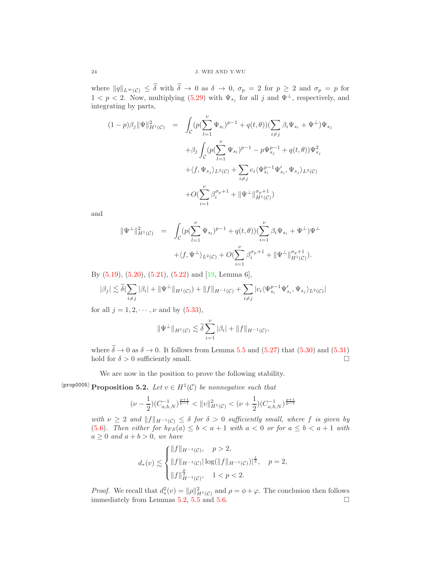where  $||q||_{L^{\infty}(\mathcal{C})} \leq \delta$  with  $\delta \to 0$  as  $\delta \to 0$ ,  $\sigma_p = 2$  for  $p \geq 2$  and  $\sigma_p = p$  for  $1 < p < 2$ . Now, multiplying [\(5.29\)](#page-22-1) with  $\Psi_{s_j}$  for all j and  $\Psi^{\perp}$ , respectively, and integrating by parts,

$$
(1-p)\beta_j \|\Psi\|_{H^1(\mathcal{C})}^2 = \int_{\mathcal{C}} (p(\sum_{l=1}^{\nu} \Psi_{s_l})^{p-1} + q(t,\theta))(\sum_{i \neq j} \beta_i \Psi_{s_i} + \Psi^{\perp})\Psi_{s_j} + \beta_j \int_{\mathcal{C}} (p(\sum_{l=1}^{\nu} \Psi_{s_l})^{p-1} - p\Psi_{s_j}^{p-1} + q(t,\theta))\Psi_{s_j}^2 + \langle f, \Psi_{s_j} \rangle_{L^2(\mathcal{C})} + \sum_{i \neq j} c_i \langle \Psi_{s_i}^{p-1} \Psi'_{s_i}, \Psi_{s_j} \rangle_{L^2(\mathcal{C})} + O(\sum_{i=1}^{\nu} \beta_i^{\sigma_p+1} + \|\Psi^{\perp}\|_{H^1(\mathcal{C})}^{\sigma_p+1})
$$

and

$$
\begin{array}{rcl} \|\Psi^\perp\|^2_{H^1(\mathcal{C})} & = & \displaystyle \int_{\mathcal{C}} (p(\sum_{l=1}^\nu \Psi_{s_l})^{p-1} + q(t,\theta)) (\sum_{i=1}^\nu \beta_i \Psi_{s_i} + \Psi^\perp) \Psi^\perp \\ & + \langle f, \Psi^\perp \rangle_{L^2(\mathcal{C})} + O(\sum_{i=1}^\nu \beta_i^{\sigma_p+1} + \|\Psi^\perp\|_{H^1(\mathcal{C})}^{\sigma_p+1}). \end{array}
$$

By [\(5.19\)](#page-18-2), [\(5.20\)](#page-18-3), [\(5.21\)](#page-18-4), [\(5.22\)](#page-19-0) and [\[19,](#page-28-15) Lemma 6],

$$
|\beta_j| \lesssim \tilde{\delta}(\sum_{i \neq j} |\beta_i| + ||\Psi^{\perp}||_{H^1(\mathcal{C})}) + ||f||_{H^{-1}(\mathcal{C})} + \sum_{i \neq j} |c_i \langle \Psi_{s_i}^{p-1} \Psi'_{s_i}, \Psi_{s_j} \rangle_{L^2(\mathcal{C})}|
$$

for all  $j = 1, 2, \dots, \nu$  and by  $(5.33)$ ,

$$
\|\Psi^{\perp}\|_{H^1(\mathcal{C})} \lesssim \tilde{\delta} \sum_{i=1}^{\nu} |\beta_i| + \|f\|_{H^{-1}(\mathcal{C})},
$$

where  $\tilde{\delta} \to 0$  as  $\delta \to 0$ . It follows from Lemma [5.5](#page-21-2) and [\(5.27\)](#page-21-3) that [\(5.30\)](#page-22-3) and [\(5.31\)](#page-22-4) hold for  $\delta > 0$  sufficiently small. hold for  $\delta > 0$  sufficiently small.

<span id="page-23-0"></span>We are now in the position to prove the following stability.

 $\langle \text{prop0005} \rangle$  **Proposition 5.2.** Let  $v \in H^1(\mathcal{C})$  be nonnegative such that

$$
(\nu-\frac{1}{2})(C_{a,b,N}^{-1})^{\frac{p+1}{p-1}}<\|v\|_{H^1(\mathcal{C})}^2<(\nu+\frac{1}{2})(C_{a,b,N}^{-1})^{\frac{p+1}{p-1}}
$$

with  $\nu \geq 2$  and  $||f||_{H^{-1}(\mathcal{C})} \leq \delta$  for  $\delta > 0$  sufficiently small, where f is given by [\(5.6\)](#page-15-2). Then either for  $b_{FS}(a) \leq b < a+1$  with  $a < 0$  or for  $a \leq b < a+1$  with  $a \geq 0$  and  $a + b > 0$ , we have

$$
d_{*}(v) \lesssim \begin{cases} ||f||_{H^{-1}(\mathcal{C})}, & p > 2, \\ ||f||_{H^{-1}(\mathcal{C})} |\log(||f||_{H^{-1}(\mathcal{C})})|^{\frac{1}{2}}, & p = 2, \\ ||f||_{H^{-1}(\mathcal{C})}^{\frac{p}{2}}, & 1 < p < 2. \end{cases}
$$

*Proof.* We recall that  $d^2_*(v) = ||\rho||^2_{H^1(\mathcal{C})}$  and  $\rho = \phi + \varphi$ . The conclusion then follows immediately from Lemmas [5.2,](#page-15-5) [5.5](#page-21-2) and [5.6.](#page-22-5)  $\Box$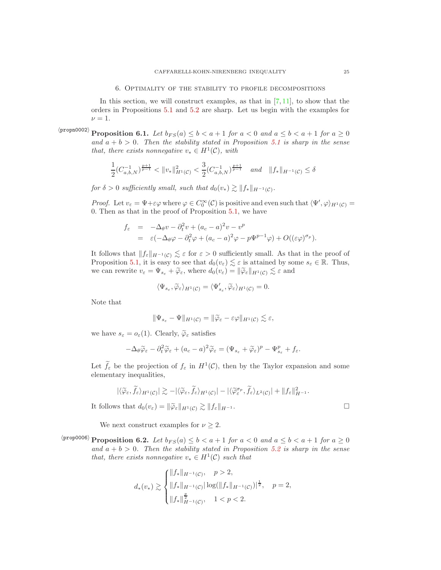<span id="page-24-0"></span>In this section, we will construct examples, as that in  $[7, 11]$  $[7, 11]$ , to show that the orders in Propositions [5.1](#page-13-3) and [5.2](#page-23-0) are sharp. Let us begin with the examples for  $\nu = 1.$ 

 $\langle$ propn0002 $\rangle$ **Proposition 6.1.** Let  $b_{FS}(a) \leq b < a+1$  for  $a < 0$  and  $a \leq b < a+1$  for  $a \geq 0$ and  $a + b > 0$ . Then the stability stated in Proposition [5.1](#page-13-3) is sharp in the sense that, there exists nonnegative  $v_* \in H^1(\mathcal{C})$ , with

$$
\frac{1}{2}(C_{a,b,N}^{-1})^{\frac{p+1}{p-1}} < ||v_*||_{H^1(\mathcal{C})}^2 < \frac{3}{2}(C_{a,b,N}^{-1})^{\frac{p+1}{p-1}} \quad and \quad ||f_*||_{H^{-1}(\mathcal{C})} \le \delta
$$

for  $\delta > 0$  sufficiently small, such that  $d_0(v_*) \gtrsim ||f_*||_{H^{-1}(\mathcal{C})}$ .

*Proof.* Let  $v_{\varepsilon} = \Psi + \varepsilon \varphi$  where  $\varphi \in C_0^{\infty}(\mathcal{C})$  is positive and even such that  $\langle \Psi', \varphi \rangle_{H^1(\mathcal{C})} =$ 0. Then as that in the proof of Proposition [5.1,](#page-13-3) we have

$$
f_{\varepsilon} = -\Delta_{\theta} v - \partial_{t}^{2} v + (a_{c} - a)^{2} v - v^{p}
$$
  
=  $\varepsilon (-\Delta_{\theta} \varphi - \partial_{t}^{2} \varphi + (a_{c} - a)^{2} \varphi - p \Psi^{p-1} \varphi) + O((\varepsilon \varphi)^{\sigma_{p}}).$ 

It follows that  $||f_{\varepsilon}||_{H^{-1}(\mathcal{C})} \lesssim \varepsilon$  for  $\varepsilon > 0$  sufficiently small. As that in the proof of Proposition [5.1,](#page-13-3) it is easy to see that  $d_0(v_\varepsilon) \lesssim \varepsilon$  is attained by some  $s_\varepsilon \in \mathbb{R}$ . Thus, we can rewrite  $v_{\varepsilon} = \Psi_{s_{\varepsilon}} + \widetilde{\varphi}_{\varepsilon}$ , where  $d_0(v_{\varepsilon}) = ||\widetilde{\varphi}_{\varepsilon}||_{H^1(\mathcal{C})} \lesssim \varepsilon$  and

$$
\langle \Psi_{s_{\varepsilon}}, \widetilde{\varphi}_{\varepsilon} \rangle_{H^1(\mathcal{C})} = \langle \Psi'_{s_{\varepsilon}}, \widetilde{\varphi}_{\varepsilon} \rangle_{H^1(\mathcal{C})} = 0.
$$

Note that

$$
\|\Psi_{s_{\varepsilon}} - \Psi\|_{H^1(\mathcal{C})} = \|\widetilde{\varphi}_{\varepsilon} - \varepsilon \varphi\|_{H^1(\mathcal{C})} \lesssim \varepsilon,
$$

we have  $s_{\varepsilon} = o_{\varepsilon}(1)$ . Clearly,  $\widetilde{\varphi}_{\varepsilon}$  satisfies

$$
-\Delta_{\theta}\widetilde{\varphi}_{\varepsilon}-\partial_{t}^{2}\widetilde{\varphi}_{\varepsilon}+(a_{c}-a)^{2}\widetilde{\varphi}_{\varepsilon}=(\Psi_{s_{\varepsilon}}+\widetilde{\varphi}_{\varepsilon})^{p}-\Psi_{s_{\varepsilon}}^{p}+f_{\varepsilon}.
$$

Let  $f_{\varepsilon}$  be the projection of  $f_{\varepsilon}$  in  $H^1(\mathcal{C})$ , then by the Taylor expansion and some elementary inequalities,

$$
|\langle \widetilde{\varphi}_{\varepsilon}, \widetilde{f}_{\varepsilon} \rangle_{H^1(\mathcal{C})}| \gtrsim -|\langle \widetilde{\varphi}_{\varepsilon}, \widetilde{f}_{\varepsilon} \rangle_{H^1(\mathcal{C})}| - |\langle \widetilde{\varphi}_{\varepsilon}^{\sigma_p}, \widetilde{f}_{\varepsilon} \rangle_{L^2(\mathcal{C})}| + \|f_{\varepsilon}\|_{H^{-1}}^2.
$$

It follows that  $d_0(v_\varepsilon) = ||\widetilde{\varphi}_\varepsilon||_{H^1(\mathcal{C})} \gtrsim ||f_\varepsilon||_{H^{-1}}$ .

<span id="page-24-1"></span>We next construct examples for  $\nu \geq 2$ .

 $\langle \text{proposition 6.2.}$  Let  $b_{FS}(a) \leq b < a+1$  for  $a < 0$  and  $a \leq b < a+1$  for  $a \geq 0$ and  $a + b > 0$ . Then the stability stated in Proposition [5.2](#page-23-0) is sharp in the sense that, there exists nonnegative  $v_* \in H^1(\mathcal{C})$  such that

$$
d_{*}(v_{*}) \gtrsim \begin{cases} ||f_{*}||_{H^{-1}(\mathcal{C})}, & p > 2, \\ ||f_{*}||_{H^{-1}(\mathcal{C})}|\log(||f_{*}||_{H^{-1}(\mathcal{C})})|^{\frac{1}{2}}, & p = 2, \\ ||f_{*}||_{H^{-1}(\mathcal{C})}^{\frac{p}{2}}, & 1 < p < 2. \end{cases}
$$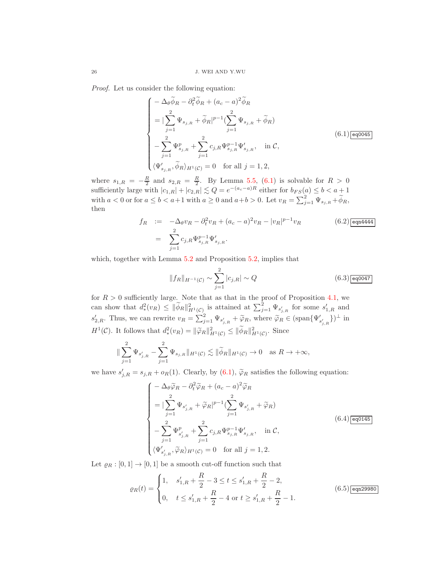Proof. Let us consider the following equation:

<span id="page-25-0"></span>
$$
\begin{cases}\n-\Delta_{\theta}\widetilde{\phi}_{R} - \partial_{t}^{2}\widetilde{\phi}_{R} + (a_{c} - a)^{2}\widetilde{\phi}_{R} \\
= |\sum_{j=1}^{2} \Psi_{s_{j,R}} + \widetilde{\phi}_{R}|^{p-1} (\sum_{j=1}^{2} \Psi_{s_{j,R}} + \widetilde{\phi}_{R}) \\
- \sum_{j=1}^{2} \Psi_{s_{j,R}}^{p} + \sum_{j=1}^{2} c_{j,R} \Psi_{s_{j,R}}^{p-1} \Psi'_{s_{j,R}}, & \text{in } \mathcal{C}, \\
\langle \Psi'_{s_{j,R}}, \widetilde{\phi}_{R} \rangle_{H^{1}(\mathcal{C})} = 0 & \text{for all } j = 1, 2,\n\end{cases}
$$
\n(6.1)

where  $s_{1,R} = -\frac{R}{2}$  and  $s_{2,R} = \frac{R}{2}$ . By Lemma [5.5,](#page-21-2) [\(6.1\)](#page-25-0) is solvable for  $R > 0$ sufficiently large with  $|c_{1,R}| + |c_{2,R}| \lesssim Q = e^{-(a_c-a)R}$  either for  $b_{FS}(a) \leq b < a + 1$ with  $a < 0$  or for  $a \le b < a+1$  with  $a \ge 0$  and  $a+b > 0$ . Let  $v_R = \sum_{j=1}^{2} \Psi_{s_{j,R}} + \widetilde{\phi}_R$ , then

<span id="page-25-4"></span>
$$
f_R := -\Delta_{\theta} v_R - \partial_t^2 v_R + (a_c - a)^2 v_R - |v_R|^{p-1} v_R
$$
\n
$$
= \sum_{j=1}^2 c_{j,R} \Psi_{s_{j,R}}^{p-1} \Psi_{s_{j,R}}'.
$$
\n(6.2)

which, together with Lemma  $5.2$  and Proposition  $5.2$ , implies that

<span id="page-25-3"></span>
$$
||f_R||_{H^{-1}(\mathcal{C})} \sim \sum_{j=1}^{2} |c_{j,R}| \sim Q \tag{6.3) \overline{\text{eq0047}}}
$$

for  $R > 0$  sufficiently large. Note that as that in the proof of Proposition [4.1,](#page-10-2) we can show that  $d^2_*(v_R) \leq \|\widetilde{\phi}_R\|^2_{H^1(\mathcal{C})}$  is attained at  $\sum_{j=1}^2 \Psi_{s'_{j,R}}$  for some  $s'_{1,R}$  and  $s'_{2,R}$ . Thus, we can rewrite  $v_R = \sum_{j=1}^2 \Psi_{s'_{j,R}} + \widetilde{\varphi}_R$ , where  $\widetilde{\varphi}_R \in (\text{span}\{\Psi'_{s'_{j,R}}\})^{\perp}$  in  $H^1(\mathcal{C})$ . It follows that  $d^2_*(v_R) = ||\widetilde{\varphi}_R||^2_{H^1(\mathcal{C})} \le ||\widetilde{\phi}_R||^2_{H^1(\mathcal{C})}$ . Since

$$
\|\sum_{j=1}^2 \Psi_{s'_{j,R}} - \sum_{j=1}^2 \Psi_{s_{j,R}}\|_{H^1(\mathcal{C})} \lesssim \|\widetilde{\phi}_R\|_{H^1(\mathcal{C})} \to 0 \quad \text{as } R \to +\infty,
$$

we have  $s'_{j,R} = s_{j,R} + o_R(1)$ . Clearly, by  $(6.1)$ ,  $\tilde{\varphi}_R$  satisfies the following equation:

<span id="page-25-1"></span>
$$
\begin{cases}\n-\Delta_{\theta}\tilde{\varphi}_{R} - \partial_{t}^{2}\tilde{\varphi}_{R} + (a_{c} - a)^{2}\tilde{\varphi}_{R} \\
= |\sum_{j=1}^{2} \Psi_{s'_{j,R}} + \tilde{\varphi}_{R}|^{p-1} (\sum_{j=1}^{2} \Psi_{s'_{j,R}} + \tilde{\varphi}_{R}) \\
- \sum_{j=1}^{2} \Psi_{s'_{j,R}}^{p} + \sum_{j=1}^{2} c_{j,R} \Psi_{s_{j,R}}^{p-1} \Psi'_{s_{j,R}}, & \text{in } C, \\
\langle \Psi'_{s'_{j,R}}, \tilde{\varphi}_{R} \rangle_{H^{1}(C)} = 0 & \text{for all } j = 1, 2.\n\end{cases}
$$
\n(6.4)

Let  $\varrho_R : [0, 1] \to [0, 1]$  be a smooth cut-off function such that

<span id="page-25-2"></span>
$$
\varrho_R(t) = \begin{cases} 1, & s'_{1,R} + \frac{R}{2} - 3 \le t \le s'_{1,R} + \frac{R}{2} - 2, \\ 0, & t \le s'_{1,R} + \frac{R}{2} - 4 \text{ or } t \ge s'_{1,R} + \frac{R}{2} - 1. \end{cases}
$$
(6.5) [eqn29980]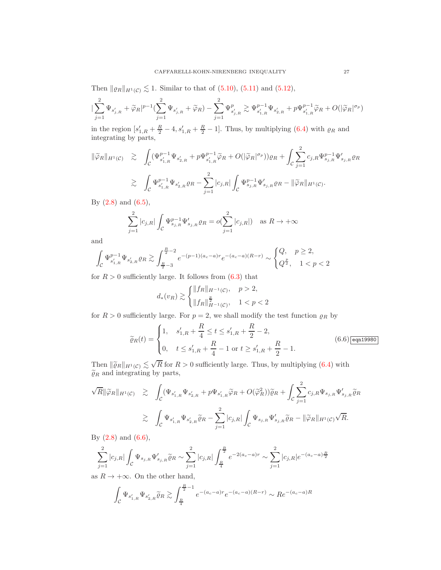Then  $\|\varrho_R\|_{H^1(\mathcal{C})} \lesssim 1$ . Similar to that of [\(5.10\)](#page-16-2), [\(5.11\)](#page-16-3) and [\(5.12\)](#page-16-1),

$$
|\sum_{j=1}^2\Psi_{s'_{j,R}}+\tilde{\varphi}_{R}|^{p-1}(\sum_{j=1}^2\Psi_{s'_{j,R}}+\tilde{\varphi}_{R})-\sum_{j=1}^2\Psi^{p}_{s'_{j,R}}\gtrsim \Psi^{p-1}_{s'_{1,R}}\Psi_{s'_{2,R}}+p\Psi^{p-1}_{s'_{1,R}}\tilde{\varphi}_{R}+O(|\tilde{\varphi}_{R}|^{\sigma_p})
$$

in the region  $[s'_{1,R} + \frac{R}{2} - 4, s'_{1,R} + \frac{R}{2} - 1]$ . Thus, by multiplying [\(6.4\)](#page-25-1) with  $\rho_R$  and integrating by parts,

$$
\|\widetilde{\varphi}_{R}\|_{H^{1}(\mathcal{C})} \geq \int_{\mathcal{C}} (\Psi_{s'_{1,R}}^{p-1} \Psi_{s'_{2,R}} + p\Psi_{s'_{1,R}}^{p-1} \widetilde{\varphi}_{R} + O(|\widetilde{\varphi}_{R}|^{\sigma_{p}}))\varrho_{R} + \int_{\mathcal{C}} \sum_{j=1}^{2} c_{j,R} \Psi_{s_{j,R}}^{p-1} \Psi'_{s_{j,R}}\varrho_{R}
$$
  

$$
\geq \int_{\mathcal{C}} \Psi_{s'_{1,R}}^{p-1} \Psi_{s'_{2,R}}\varrho_{R} - \sum_{j=1}^{2} |c_{j,R}| \int_{\mathcal{C}} \Psi_{s_{j,R}}^{p-1} \Psi'_{s_{j,R}}\varrho_{R} - ||\widetilde{\varphi}_{R}||_{H^{1}(\mathcal{C})}.
$$

By  $(2.8)$  and  $(6.5)$ ,

$$
\sum_{j=1}^{2} |c_{j,R}| \int_{\mathcal{C}} \Psi_{s_{j,R}}^{p-1} \Psi_{s_{j,R}}' \varrho_R = o(\sum_{j=1}^{2} |c_{j,R}|) \text{ as } R \to +\infty
$$

and

$$
\int_{\mathcal{C}} \Psi_{s'_{1,R}}^{p-1} \Psi_{s'_{2,R}} \varrho_R \gtrsim \int_{\frac{R}{2}-3}^{\frac{R}{2}-2} e^{-(p-1)(a_c-a)r} e^{-(a_c-a)(R-r)} \sim \begin{cases} Q, & p \geq 2, \\ Q^{\frac{p}{2}}, & 1 < p < 2 \end{cases}
$$

for  $R > 0$  sufficiently large. It follows from  $(6.3)$  that

$$
d_{*}(v_{R}) \gtrsim \begin{cases} ||f_{R}||_{H^{-1}(\mathcal{C})}, & p > 2, \\ ||f_{R}||_{H^{-1}(\mathcal{C})}^{\frac{p}{2}}, & 1 < p < 2 \end{cases}
$$

for  $R > 0$  sufficiently large. For  $p = 2$ , we shall modify the test function  $\rho_R$  by

<span id="page-26-0"></span>
$$
\widetilde{\varrho}_R(t) = \begin{cases}\n1, & s'_{1,R} + \frac{R}{4} \le t \le s'_{1,R} + \frac{R}{2} - 2, \\
0, & t \le s'_{1,R} + \frac{R}{4} - 1 \text{ or } t \ge s'_{1,R} + \frac{R}{2} - 1.\n\end{cases}
$$
\n(6.6) eqn19980

Then  $\|\widetilde{\varrho}_R\|_{H^1(\mathcal{C})} \lesssim \sqrt{R}$  for  $R > 0$  sufficiently large. Thus, by multiplying [\(6.4\)](#page-25-1) with  $\tilde{\varrho}_R$  and integrating by parts,

$$
\sqrt{R} \|\widetilde{\varphi}_R\|_{H^1(\mathcal{C})} \geq \int_{\mathcal{C}} (\Psi_{s'_{1,R}} \Psi_{s'_{2,R}} + p\Psi_{s'_{1,R}} \widetilde{\varphi}_R + O(\widetilde{\varphi}_R^2)) \widetilde{\varrho}_R + \int_{\mathcal{C}} \sum_{j=1}^2 c_{j,R} \Psi_{s_{j,R}} \Psi'_{s_{j,R}} \widetilde{\varrho}_R
$$
  

$$
\geq \int_{\mathcal{C}} \Psi_{s'_{1,R}} \Psi_{s'_{2,R}} \widetilde{\varrho}_R - \sum_{j=1}^2 |c_{j,R}| \int_{\mathcal{C}} \Psi_{s_{j,R}} \Psi'_{s_{j,R}} \widetilde{\varrho}_R - \|\widetilde{\varphi}_R\|_{H^1(\mathcal{C})} \sqrt{R}.
$$

By [\(2.8\)](#page-6-1) and [\(6.6\)](#page-26-0),

$$
\sum_{j=1}^2 |c_{j,R}| \int_{\mathcal{C}} \Psi_{s_{j,R}} \Psi_{s_{j,R}}' \widetilde{\varrho}_R \sim \sum_{j=1}^2 |c_{j,R}| \int_{\frac{R}{4}}^{\frac{R}{2}} e^{-2(a_c-a)r} \sim \sum_{j=1}^2 |c_{j,R}| e^{-(a_c-a)\frac{R}{2}}
$$

as  $R \to +\infty$ . On the other hand,

$$
\int_{\mathcal{C}} \Psi_{s'_{1,R}} \Psi_{s'_{2,R}} \widetilde{\varrho}_R \gtrsim \int_{\frac{R}{4}}^{\frac{R}{2}-1} e^{-(a_c-a)r} e^{-(a_c-a)(R-r)} \sim Re^{-(a_c-a)R}
$$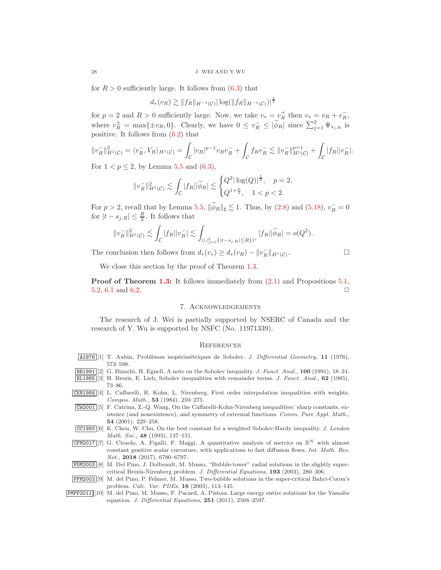for  $R > 0$  sufficiently large. It follows from  $(6.3)$  that

$$
d_*(v_R) \gtrsim \|f_R\|_{H^{-1}(\mathcal{C})} |\log(\|f_R\|_{H^{-1}(\mathcal{C})})|^{\frac{1}{2}}
$$

for  $p = 2$  and  $R > 0$  sufficiently large. Now, we take  $v_* = v_R^+$  then  $v_* = v_R + v_R^-$ , where  $v_R^{\pm} = \max\{\pm v_R, 0\}$ . Clearly, we have  $0 \le v_R^- \le |\widetilde{\phi}_R|$  since  $\sum_{j=1}^2 \Psi_{s_{j,R}}$  is positive. It follows from  $(6.2)$  that

$$
||v_R^-||_{H^1(\mathcal{C})}^2 = \langle v_R^-, V_R \rangle_{H^1(\mathcal{C})} = \int_{\mathcal{C}} |v_R|^{p-1} v_R v_R^- + \int_{\mathcal{C}} f_R v_R^- \lesssim ||v_R^-||_{H^1(\mathcal{C})}^{p+1} + \int_{\mathcal{C}} |f_R||v_R^-|.
$$

For  $1 < p \le 2$ , by Lemma [5.5](#page-21-2) and  $(6.3)$ ,

$$
||v_R^-||_{H^1(\mathcal{C})}^2 \lesssim \int_{\mathcal{C}} |f_R||\widetilde{\phi}_R| \lesssim \begin{cases} Q^2 |\log(Q)|^{\frac{1}{2}}, & p = 2, \\ Q^{1+\frac{p}{2}}, & 1 < p < 2. \end{cases}
$$

For  $p > 2$ , recall that by Lemma [5.5,](#page-21-2)  $\|\widetilde{\phi}_R\|_{\sharp} \lesssim 1$ . Thus, by [\(2.8\)](#page-6-1) and [\(5.18\)](#page-18-1),  $v_R^- = 0$ for  $|t - s_{j,R}| \leq \frac{R}{2}$ . It follows that

$$
||v_R^-||_{H^1(\mathcal{C})}^2 \lesssim \int_{\mathcal{C}} |f_R||v_R^-| \lesssim \int_{(\cup_{j=1}^2 \{|t-s_{j,R}| \le R\})^c} |f_R||\widetilde{\phi}_R| = o(Q^2).
$$

The conclusion then follows from  $d_*(v_*) \geq d_*(v_R) - ||v_R^-||_{H^1(\mathcal{C})}$ .

$$
\Box
$$

We close this section by the proof of Theorem [1.3.](#page-4-2)

Proof of Theorem [1.3:](#page-4-2) It follows immediately from [\(2.1\)](#page-5-1) and Propositions [5.1,](#page-13-3) [5.2,](#page-23-0) [6.1](#page-24-0) and [6.2.](#page-24-1)  $\Box$ 

## 7. Acknowledgements

The research of J. Wei is partially supported by NSERC of Canada and the research of Y. Wu is supported by NSFC (No. 11971339).

## **REFERENCES**

<span id="page-27-6"></span><span id="page-27-3"></span>

|  |          | [1] T. Aubin, Problèmes isopérimétriques de Sobolev. J. Differential Geometry, 11 (1976), |  |  |  |  |
|--|----------|-------------------------------------------------------------------------------------------|--|--|--|--|
|  | 573–598. |                                                                                           |  |  |  |  |

- <span id="page-27-5"></span>BE1991 [2] G. Bianchi, H. Egnell, A note on the Sobolev inequality. J. Funct. Anal., 100 (1991), 18–24.
- <span id="page-27-1"></span>BL1985 [3] H. Brezis, E. Lieb, Sobolev inequalities with remainder terms. J. Funct. Anal., 62 (1985), 73–86.
- CKN1984 [4] L. Caffarelli, R. Kohn, L. Nirenberg, First order interpolation inequalities with weights. Compos. Math., 53 (1984), 259–275.
- <span id="page-27-2"></span>CW2001 [5] F. Catrina, Z.-Q. Wang, On the Caffarelli-Kohn-Nirenberg inequalities: sharp constants, existence (and nonexistence), and symmetry of extremal functions. Comm. Pure Appl. Math., 54 (2001), 229–258.
- <span id="page-27-4"></span>CC1993 [6] K. Chou, W. Chu, On the best constant for a weighted Sobolev-Hardy inequality. J. London Math. Soc., 48 (1993), 137–151.
- <span id="page-27-0"></span>CFM2017 [7] G. Ciraolo, A. Figalli, F. Maggi, A quantitative analysis of metrics on  $\mathbb{R}^N$  with almost constant positive scalar curvature, with applications to fast diffusion flows. Int. Math. Res. Not., 2018 (2017), 6780–6797.
- <span id="page-27-7"></span>PDM2003 [8] M. Del Pino, J. Dolbeault, M. Musso, "Bubble-tower" radial solutions in the slightly supercritical Brezis-Nirenberg problem. J. Differential Equations, 193 (2003), 280–306.
- <span id="page-27-8"></span>PFM2003 [9] M. del Pino, P. Felmer, M. Musso. Two-bubble solutions in the super-critical Bahri-Coron's problem. Calc. Var. PDEs, 16 (2003), 113–145.
- PMPP2011 [10] M. del Pino, M. Musso, F. Pacard, A. Pistoia. Large energy entire solutions for the Yamabe equation. J. Differential Equations, 251 (2011), 2568–2597.